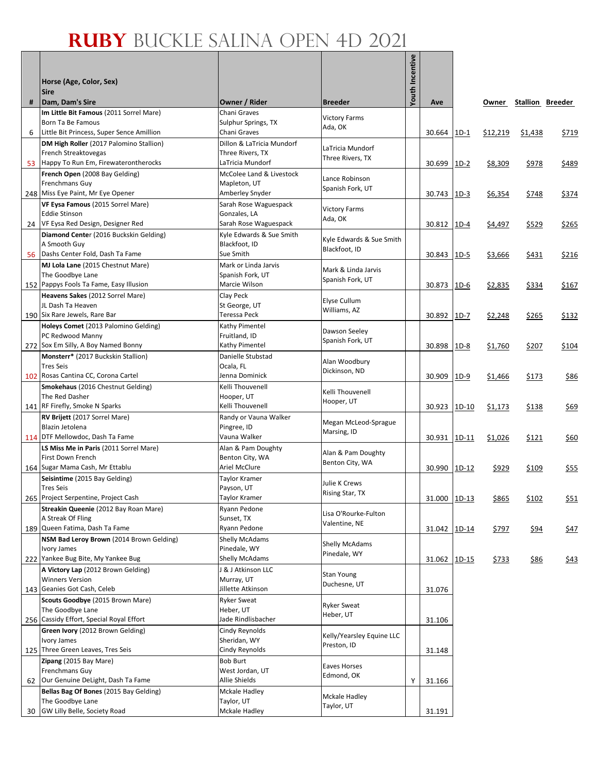Г

|    |                                                                                |                                               |                                 | Youth Incentive |               |         |              |                         |             |
|----|--------------------------------------------------------------------------------|-----------------------------------------------|---------------------------------|-----------------|---------------|---------|--------------|-------------------------|-------------|
|    | Horse (Age, Color, Sex)                                                        |                                               |                                 |                 |               |         |              |                         |             |
| #  | <b>Sire</b><br>Dam, Dam's Sire                                                 | Owner / Rider                                 | <b>Breeder</b>                  |                 | Ave           |         | Owner        | <b>Stallion Breeder</b> |             |
|    | Im Little Bit Famous (2011 Sorrel Mare)                                        | Chani Graves                                  |                                 |                 |               |         |              |                         |             |
|    | Born Ta Be Famous                                                              | Sulphur Springs, TX                           | <b>Victory Farms</b><br>Ada, OK |                 |               |         |              |                         |             |
| 6  | Little Bit Princess, Super Sence Amillion                                      | Chani Graves                                  |                                 |                 | 30.664        | $1D-1$  | \$12,219     | \$1,438                 | \$719       |
|    | DM High Roller (2017 Palomino Stallion)<br>French Streaktovegas                | Dillon & LaTricia Mundorf<br>Three Rivers, TX | LaTricia Mundorf                |                 |               |         |              |                         |             |
| 53 | Happy To Run Em, Firewaterontherocks                                           | LaTricia Mundorf                              | Three Rivers, TX                |                 | 30.699        | $1D-2$  | \$8,309      | \$978                   | \$489       |
|    | French Open (2008 Bay Gelding)                                                 | McColee Land & Livestock                      | Lance Robinson                  |                 |               |         |              |                         |             |
|    | Frenchmans Guy                                                                 | Mapleton, UT                                  | Spanish Fork, UT                |                 |               |         |              |                         |             |
|    | 248 Miss Eye Paint, Mr Eye Opener                                              | Amberley Snyder                               |                                 |                 | 30.743        | $1D-3$  | \$6,354      | \$748                   | \$374       |
|    | VF Eysa Famous (2015 Sorrel Mare)<br><b>Eddie Stinson</b>                      | Sarah Rose Waguespack<br>Gonzales, LA         | <b>Victory Farms</b>            |                 |               |         |              |                         |             |
|    | 24 VF Eysa Red Design, Designer Red                                            | Sarah Rose Waguespack                         | Ada, OK                         |                 | 30.812   1D-4 |         | \$4,497      | \$529                   | \$265       |
|    | Diamond Center (2016 Buckskin Gelding)                                         | Kyle Edwards & Sue Smith                      | Kyle Edwards & Sue Smith        |                 |               |         |              |                         |             |
|    | A Smooth Guy<br>56 Dashs Center Fold, Dash Ta Fame                             | Blackfoot, ID<br>Sue Smith                    | Blackfoot, ID                   |                 |               |         |              |                         |             |
|    | MJ Lola Lane (2015 Chestnut Mare)                                              | Mark or Linda Jarvis                          |                                 |                 | 30.843        | $1D-5$  | \$3,666      | \$431                   | \$216       |
|    | The Goodbye Lane                                                               | Spanish Fork, UT                              | Mark & Linda Jarvis             |                 |               |         |              |                         |             |
|    | 152 Pappys Fools Ta Fame, Easy Illusion                                        | Marcie Wilson                                 | Spanish Fork, UT                |                 | 30.873        | $1D-6$  | \$2,835      | \$334                   | \$167       |
|    | Heavens Sakes (2012 Sorrel Mare)                                               | Clay Peck                                     | Elyse Cullum                    |                 |               |         |              |                         |             |
|    | JL Dash Ta Heaven<br>190 Six Rare Jewels, Rare Bar                             | St George, UT<br>Teressa Peck                 | Williams, AZ                    |                 |               | $1D-7$  |              |                         |             |
|    | Holeys Comet (2013 Palomino Gelding)                                           | Kathy Pimentel                                |                                 |                 | 30.892        |         | \$2,248      | \$265                   | \$132       |
|    | PC Redwood Manny                                                               | Fruitland, ID                                 | Dawson Seeley                   |                 |               |         |              |                         |             |
|    | 272 Sox Em Silly, A Boy Named Bonny                                            | Kathy Pimentel                                | Spanish Fork, UT                |                 | 30.898        | $1D-8$  | \$1,760      | \$207                   | \$104       |
|    | Monsterr* (2017 Buckskin Stallion)                                             | Danielle Stubstad                             | Alan Woodbury                   |                 |               |         |              |                         |             |
|    | <b>Tres Seis</b><br>102 Rosas Cantina CC, Corona Cartel                        | Ocala, FL<br>Jenna Dominick                   | Dickinson, ND                   |                 | 30.909        | $1D-9$  | \$1,466      | \$173                   | \$86        |
|    | <b>Smokehaus</b> (2016 Chestnut Gelding)                                       | Kelli Thouvenell                              |                                 |                 |               |         |              |                         |             |
|    | The Red Dasher                                                                 | Hooper, UT                                    | Kelli Thouvenell<br>Hooper, UT  |                 |               |         |              |                         |             |
|    | 141 RF Firefly, Smoke N Sparks                                                 | Kelli Thouvenell                              |                                 |                 | 30.923        | 1D-10   | \$1,173      | \$138                   | \$69        |
|    | RV Brijett (2017 Sorrel Mare)<br>Blazin Jetolena                               | Randy or Vauna Walker<br>Pingree, ID          | Megan McLeod-Sprague            |                 |               |         |              |                         |             |
|    | 114 DTF Mellowdoc, Dash Ta Fame                                                | Vauna Walker                                  | Marsing, ID                     |                 | 30.931 1D-11  |         | \$1,026      | \$121                   | \$60        |
|    | LS Miss Me in Paris (2011 Sorrel Mare)                                         | Alan & Pam Doughty                            | Alan & Pam Doughty              |                 |               |         |              |                         |             |
|    | First Down French                                                              | Benton City, WA                               | Benton City, WA                 |                 |               |         |              |                         |             |
|    | 164 Sugar Mama Cash, Mr Ettablu                                                | Ariel McClure                                 |                                 |                 | 30.990        | $1D-12$ | \$929        | \$109                   | \$55        |
|    | Seisintime (2015 Bay Gelding)<br><b>Tres Seis</b>                              | Taylor Kramer<br>Payson, UT                   | Julie K Crews                   |                 |               |         |              |                         |             |
|    | 265 Project Serpentine, Project Cash                                           | Taylor Kramer                                 | Rising Star, TX                 |                 | 31.000 1D-13  |         | \$865        | \$102                   | <u>\$51</u> |
|    | Streakin Queenie (2012 Bay Roan Mare)                                          | Ryann Pedone                                  | Lisa O'Rourke-Fulton            |                 |               |         |              |                         |             |
|    | A Streak Of Fling<br>189 Queen Fatima, Dash Ta Fame                            | Sunset, TX<br>Ryann Pedone                    | Valentine, NE                   |                 | 31.042 1D-14  |         | \$797        |                         | \$47        |
|    | NSM Bad Leroy Brown (2014 Brown Gelding)                                       | Shelly McAdams                                |                                 |                 |               |         |              | <u>\$94</u>             |             |
|    | Ivory James                                                                    | Pinedale, WY                                  | Shelly McAdams<br>Pinedale, WY  |                 |               |         |              |                         |             |
|    | 222 Yankee Bug Bite, My Yankee Bug                                             | Shelly McAdams                                |                                 |                 | 31.062 1D-15  |         | <u>\$733</u> | \$86                    | \$43        |
|    | A Victory Lap (2012 Brown Gelding)<br><b>Winners Version</b>                   | J & J Atkinson LLC<br>Murray, UT              | Stan Young                      |                 |               |         |              |                         |             |
|    | 143 Geanies Got Cash, Celeb                                                    | Jillette Atkinson                             | Duchesne, UT                    |                 | 31.076        |         |              |                         |             |
|    | Scouts Goodbye (2015 Brown Mare)                                               | <b>Ryker Sweat</b>                            |                                 |                 |               |         |              |                         |             |
|    | The Goodbye Lane                                                               | Heber, UT                                     | <b>Ryker Sweat</b><br>Heber, UT |                 |               |         |              |                         |             |
|    | 256 Cassidy Effort, Special Royal Effort                                       | Jade Rindlisbacher                            |                                 |                 | 31.106        |         |              |                         |             |
|    | Green Ivory (2012 Brown Gelding)<br>Ivory James                                | Cindy Reynolds<br>Sheridan, WY                | Kelly/Yearsley Equine LLC       |                 |               |         |              |                         |             |
|    | 125 Three Green Leaves, Tres Seis                                              | Cindy Reynolds                                | Preston, ID                     |                 | 31.148        |         |              |                         |             |
|    | Zipang (2015 Bay Mare)                                                         | <b>Bob Burt</b>                               | Eaves Horses                    |                 |               |         |              |                         |             |
|    | Frenchmans Guy                                                                 | West Jordan, UT                               | Edmond, OK                      |                 |               |         |              |                         |             |
|    | 62 Our Genuine DeLight, Dash Ta Fame<br>Bellas Bag Of Bones (2015 Bay Gelding) | Allie Shields<br><b>Mckale Hadley</b>         |                                 | Υ               | 31.166        |         |              |                         |             |
|    | The Goodbye Lane                                                               | Taylor, UT                                    | Mckale Hadley                   |                 |               |         |              |                         |             |
| 30 | GW Lilly Belle, Society Road                                                   | <b>Mckale Hadley</b>                          | Taylor, UT                      |                 | 31.191        |         |              |                         |             |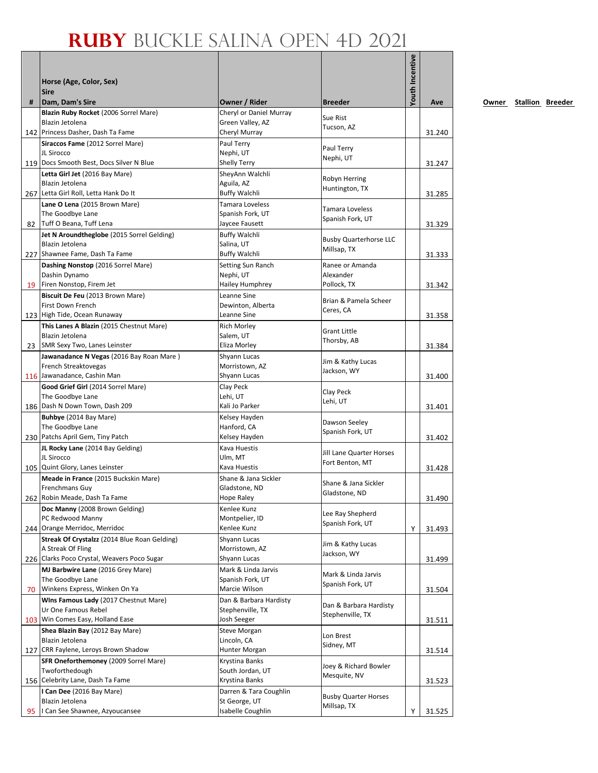|    |                                                                         |                                            |                                              | <b>Youth Incentive</b> |        |
|----|-------------------------------------------------------------------------|--------------------------------------------|----------------------------------------------|------------------------|--------|
|    | Horse (Age, Color, Sex)                                                 |                                            |                                              |                        |        |
|    | <b>Sire</b>                                                             |                                            |                                              |                        |        |
| #  | Dam, Dam's Sire                                                         | Owner / Rider                              | <b>Breeder</b>                               |                        | Ave    |
|    | Blazin Ruby Rocket (2006 Sorrel Mare)                                   | Cheryl or Daniel Murray                    | Sue Rist                                     |                        |        |
|    | Blazin Jetolena                                                         | Green Valley, AZ                           | Tucson, AZ                                   |                        |        |
|    | 142 Princess Dasher, Dash Ta Fame                                       | Cheryl Murray                              |                                              |                        | 31.240 |
|    | Siraccos Fame (2012 Sorrel Mare)<br>JL Sirocco                          | Paul Terry<br>Nephi, UT                    | Paul Terry                                   |                        |        |
|    | 119 Docs Smooth Best, Docs Silver N Blue                                | Shelly Terry                               | Nephi, UT                                    |                        | 31.247 |
|    | Letta Girl Jet (2016 Bay Mare)                                          | SheyAnn Walchli                            | Robyn Herring                                |                        |        |
|    | Blazin Jetolena                                                         | Aguila, AZ                                 | Huntington, TX                               |                        |        |
|    | 267 Letta Girl Roll, Letta Hank Do It                                   | <b>Buffy Walchli</b>                       |                                              |                        | 31.285 |
|    | Lane O Lena (2015 Brown Mare)<br>The Goodbye Lane                       | Tamara Loveless<br>Spanish Fork, UT        | <b>Tamara Loveless</b>                       |                        |        |
|    | 82 Tuff O Beana, Tuff Lena                                              | Jaycee Fausett                             | Spanish Fork, UT                             |                        | 31.329 |
|    | Jet N Aroundtheglobe (2015 Sorrel Gelding)                              | <b>Buffy Walchli</b>                       |                                              |                        |        |
|    | Blazin Jetolena                                                         | Salina, UT                                 | <b>Busby Quarterhorse LLC</b><br>Millsap, TX |                        |        |
|    | 227 Shawnee Fame, Dash Ta Fame                                          | <b>Buffy Walchli</b>                       |                                              |                        | 31.333 |
|    | Dashing Nonstop (2016 Sorrel Mare)<br>Dashin Dynamo                     | Setting Sun Ranch<br>Nephi, UT             | Ranee or Amanda<br>Alexander                 |                        |        |
| 19 | Firen Nonstop, Firem Jet                                                | Hailey Humphrey                            | Pollock, TX                                  |                        | 31.342 |
|    | Biscuit De Feu (2013 Brown Mare)                                        | Leanne Sine                                |                                              |                        |        |
|    | First Down French                                                       | Dewinton, Alberta                          | Brian & Pamela Scheer<br>Ceres, CA           |                        |        |
|    | 123 High Tide, Ocean Runaway                                            | Leanne Sine                                |                                              |                        | 31.358 |
|    | This Lanes A Blazin (2015 Chestnut Mare)                                | <b>Rich Morley</b>                         | <b>Grant Little</b>                          |                        |        |
|    | Blazin Jetolena<br>23   SMR Sexy Two, Lanes Leinster                    | Salem, UT<br>Eliza Morley                  | Thorsby, AB                                  |                        | 31.384 |
|    | Jawanadance N Vegas (2016 Bay Roan Mare)                                | Shyann Lucas                               |                                              |                        |        |
|    | French Streaktovegas                                                    | Morristown, AZ                             | Jim & Kathy Lucas                            |                        |        |
|    | 116 Jawanadance, Cashin Man                                             | Shyann Lucas                               | Jackson, WY                                  |                        | 31.400 |
|    | Good Grief Girl (2014 Sorrel Mare)                                      | Clay Peck                                  | Clay Peck                                    |                        |        |
|    | The Goodbye Lane<br>186 Dash N Down Town, Dash 209                      | Lehi, UT<br>Kali Jo Parker                 | Lehi, UT                                     |                        |        |
|    | Buhbye (2014 Bay Mare)                                                  | Kelsey Hayden                              |                                              |                        | 31.401 |
|    | The Goodbye Lane                                                        | Hanford, CA                                | Dawson Seeley                                |                        |        |
|    | 230 Patchs April Gem, Tiny Patch                                        | Kelsey Hayden                              | Spanish Fork, UT                             |                        | 31.402 |
|    | JL Rocky Lane (2014 Bay Gelding)                                        | Kava Huestis                               | Jill Lane Quarter Horses                     |                        |        |
|    | JL Sirocco                                                              | Ulm, MT                                    | Fort Benton, MT                              |                        |        |
|    | 105 Quint Glory, Lanes Leinster<br>Meade in France (2015 Buckskin Mare) | Kava Huestis<br>Shane & Jana Sickler       |                                              |                        | 31.428 |
|    | Frenchmans Guy                                                          | Gladstone, ND                              | Shane & Jana Sickler                         |                        |        |
|    | 262 Robin Meade, Dash Ta Fame                                           | Hope Raley                                 | Gladstone, ND                                |                        | 31.490 |
|    | Doc Manny (2008 Brown Gelding)                                          | Kenlee Kunz                                | Lee Ray Shepherd                             |                        |        |
|    | PC Redwood Manny                                                        | Montpelier, ID                             | Spanish Fork, UT                             |                        |        |
|    | 244 Orange Merridoc, Merridoc                                           | Kenlee Kunz                                |                                              | Y                      | 31.493 |
|    | Streak Of Crystalzz (2014 Blue Roan Gelding)<br>A Streak Of Fling       | Shyann Lucas<br>Morristown, AZ             | Jim & Kathy Lucas                            |                        |        |
|    | 226 Clarks Poco Crystal, Weavers Poco Sugar                             | Shyann Lucas                               | Jackson, WY                                  |                        | 31.499 |
|    | MJ Barbwire Lane (2016 Grey Mare)                                       | Mark & Linda Jarvis                        | Mark & Linda Jarvis                          |                        |        |
|    | The Goodbye Lane                                                        | Spanish Fork, UT                           | Spanish Fork, UT                             |                        |        |
| 70 | Winkens Express, Winken On Ya                                           | Marcie Wilson                              |                                              |                        | 31.504 |
|    | Wins Famous Lady (2017 Chestnut Mare)<br>Ur One Famous Rebel            | Dan & Barbara Hardisty<br>Stephenville, TX | Dan & Barbara Hardisty                       |                        |        |
|    | 103 Win Comes Easy, Holland Ease                                        | Josh Seeger                                | Stephenville, TX                             |                        | 31.511 |
|    | Shea Blazin Bay (2012 Bay Mare)                                         | Steve Morgan                               | Lon Brest                                    |                        |        |
|    | Blazin Jetolena                                                         | Lincoln, CA                                | Sidney, MT                                   |                        |        |
|    | 127 CRR Faylene, Leroys Brown Shadow                                    | Hunter Morgan                              |                                              |                        | 31.514 |
|    | SFR Oneforthemoney (2009 Sorrel Mare)<br>Twoforthedough                 | Krystina Banks<br>South Jordan, UT         | Joey & Richard Bowler                        |                        |        |
|    | 156 Celebrity Lane, Dash Ta Fame                                        | Krystina Banks                             | Mesquite, NV                                 |                        | 31.523 |
|    | I Can Dee (2016 Bay Mare)                                               | Darren & Tara Coughlin                     |                                              |                        |        |
|    | Blazin Jetolena                                                         | St George, UT                              | <b>Busby Quarter Horses</b><br>Millsap, TX   |                        |        |
| 95 | I Can See Shawnee, Azyoucansee                                          | Isabelle Coughlin                          |                                              | Υ                      | 31.525 |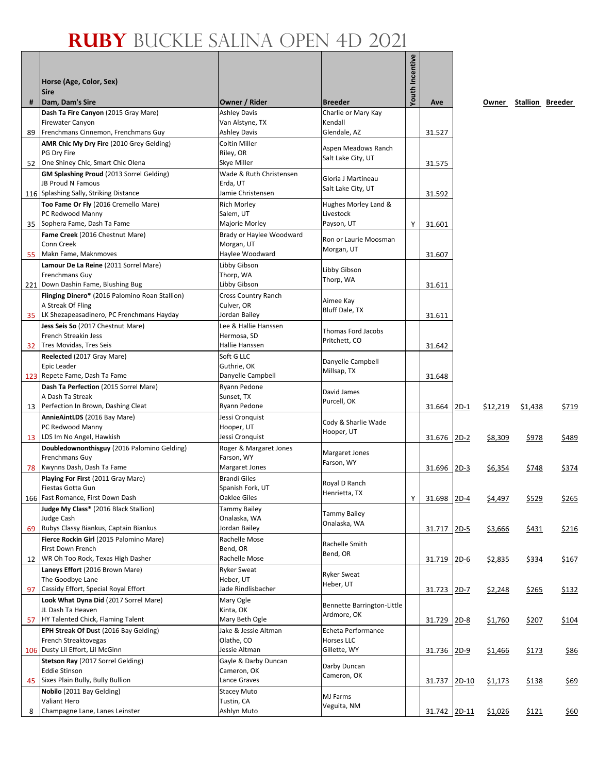|    |                                                                   |                                        |                                       | Youth Incentive |              |          |                        |       |
|----|-------------------------------------------------------------------|----------------------------------------|---------------------------------------|-----------------|--------------|----------|------------------------|-------|
|    | Horse (Age, Color, Sex)                                           |                                        |                                       |                 |              |          |                        |       |
|    | <b>Sire</b>                                                       |                                        |                                       |                 |              |          |                        |       |
| #  | Dam, Dam's Sire<br>Dash Ta Fire Canyon (2015 Gray Mare)           | Owner / Rider<br><b>Ashley Davis</b>   | <b>Breeder</b><br>Charlie or Mary Kay |                 | Ave          |          | Owner Stallion Breeder |       |
|    | <b>Firewater Canyon</b>                                           | Van Alstyne, TX                        | Kendall                               |                 |              |          |                        |       |
| 89 | Frenchmans Cinnemon, Frenchmans Guy                               | <b>Ashley Davis</b>                    | Glendale, AZ                          |                 | 31.527       |          |                        |       |
|    | AMR Chic My Dry Fire (2010 Grey Gelding)                          | <b>Coltin Miller</b>                   | Aspen Meadows Ranch                   |                 |              |          |                        |       |
|    | PG Dry Fire<br>One Shiney Chic, Smart Chic Olena                  | Riley, OR<br>Skye Miller               | Salt Lake City, UT                    |                 |              |          |                        |       |
| 52 | GM Splashing Proud (2013 Sorrel Gelding)                          | Wade & Ruth Christensen                |                                       |                 | 31.575       |          |                        |       |
|    | JB Proud N Famous                                                 | Erda, UT                               | Gloria J Martineau                    |                 |              |          |                        |       |
|    | 116 Splashing Sally, Striking Distance                            | Jamie Christensen                      | Salt Lake City, UT                    |                 | 31.592       |          |                        |       |
|    | Too Fame Or Fly (2016 Cremello Mare)                              | <b>Rich Morley</b>                     | Hughes Morley Land &                  |                 |              |          |                        |       |
|    | PC Redwood Manny                                                  | Salem, UT                              | Livestock                             |                 |              |          |                        |       |
|    | 35 Sophera Fame, Dash Ta Fame                                     | Majorie Morley                         | Payson, UT                            | Y               | 31.601       |          |                        |       |
|    | Fame Creek (2016 Chestnut Mare)<br>Conn Creek                     | Brady or Haylee Woodward<br>Morgan, UT | Ron or Laurie Moosman                 |                 |              |          |                        |       |
| 55 | Makn Fame, Maknmoves                                              | Haylee Woodward                        | Morgan, UT                            |                 | 31.607       |          |                        |       |
|    | Lamour De La Reine (2011 Sorrel Mare)                             | Libby Gibson                           |                                       |                 |              |          |                        |       |
|    | Frenchmans Guy                                                    | Thorp, WA                              | Libby Gibson<br>Thorp, WA             |                 |              |          |                        |       |
|    | 221 Down Dashin Fame, Blushing Bug                                | Libby Gibson                           |                                       |                 | 31.611       |          |                        |       |
|    | Flinging Dinero* (2016 Palomino Roan Stallion)                    | Cross Country Ranch                    | Aimee Kay                             |                 |              |          |                        |       |
|    | A Streak Of Fling<br>35 LK Shezapeasadinero, PC Frenchmans Hayday | Culver, OR<br>Jordan Bailey            | Bluff Dale, TX                        |                 | 31.611       |          |                        |       |
|    | Jess Seis So (2017 Chestnut Mare)                                 | Lee & Hallie Hanssen                   |                                       |                 |              |          |                        |       |
|    | French Streakin Jess                                              | Hermosa, SD                            | Thomas Ford Jacobs                    |                 |              |          |                        |       |
|    | 32 Tres Movidas, Tres Seis                                        | Hallie Hanssen                         | Pritchett, CO                         |                 | 31.642       |          |                        |       |
|    | Reelected (2017 Gray Mare)                                        | Soft G LLC                             | Danyelle Campbell                     |                 |              |          |                        |       |
|    | Epic Leader<br>123 Repete Fame, Dash Ta Fame                      | Guthrie, OK                            | Millsap, TX                           |                 |              |          |                        |       |
|    | Dash Ta Perfection (2015 Sorrel Mare)                             | Danyelle Campbell<br>Ryann Pedone      |                                       |                 | 31.648       |          |                        |       |
|    | A Dash Ta Streak                                                  | Sunset, TX                             | David James                           |                 |              |          |                        |       |
|    | 13 Perfection In Brown, Dashing Cleat                             | Ryann Pedone                           | Purcell, OK                           |                 | 31.664 2D-1  | \$12,219 | \$1,438                | \$719 |
|    | AnnieAintLDS (2016 Bay Mare)                                      | Jessi Cronquist                        | Cody & Sharlie Wade                   |                 |              |          |                        |       |
|    | PC Redwood Manny                                                  | Hooper, UT                             | Hooper, UT                            |                 |              |          |                        |       |
|    | 13 LDS Im No Angel, Hawkish                                       | Jessi Cronquist                        |                                       |                 | 31.676 2D-2  | \$8,309  | \$978                  | \$489 |
|    | Doubledownonthisguy (2016 Palomino Gelding)<br>Frenchmans Guy     | Roger & Margaret Jones<br>Farson, WY   | Margaret Jones                        |                 |              |          |                        |       |
| 78 | Kwynns Dash, Dash Ta Fame                                         | Margaret Jones                         | Farson, WY                            |                 | 31.696 2D-3  | \$6,354  | \$748                  | \$374 |
|    | Playing For First (2011 Gray Mare)                                | <b>Brandi Giles</b>                    |                                       |                 |              |          |                        |       |
|    | Fiestas Gotta Gun                                                 | Spanish Fork, UT                       | Royal D Ranch<br>Henrietta, TX        |                 |              |          |                        |       |
|    | 166 Fast Romance, First Down Dash                                 | Oaklee Giles                           |                                       | Υ               | 31.698 2D-4  | \$4,497  | \$529                  | \$265 |
|    | Judge My Class* (2016 Black Stallion)<br>Judge Cash               | <b>Tammy Bailey</b><br>Onalaska, WA    | Tammy Bailey                          |                 |              |          |                        |       |
| 69 | Rubys Classy Biankus, Captain Biankus                             | Jordan Bailey                          | Onalaska, WA                          |                 | 31.717 2D-5  | \$3,666  | \$431                  | \$216 |
|    | Fierce Rockin Girl (2015 Palomino Mare)                           | Rachelle Mose                          |                                       |                 |              |          |                        |       |
|    | First Down French                                                 | Bend, OR                               | Rachelle Smith<br>Bend, OR            |                 |              |          |                        |       |
| 12 | WR Oh Too Rock, Texas High Dasher                                 | Rachelle Mose                          |                                       |                 | 31.719 2D-6  | \$2,835  | \$334                  | \$167 |
|    | Laneys Effort (2016 Brown Mare)                                   | <b>Ryker Sweat</b>                     | <b>Ryker Sweat</b>                    |                 |              |          |                        |       |
| 97 | The Goodbye Lane<br>Cassidy Effort, Special Royal Effort          | Heber, UT<br>Jade Rindlisbacher        | Heber, UT                             |                 | 31.723 2D-7  | \$2,248  | \$265                  | \$132 |
|    | Look What Dyna Did (2017 Sorrel Mare)                             | Mary Ogle                              |                                       |                 |              |          |                        |       |
|    | JL Dash Ta Heaven                                                 | Kinta, OK                              | Bennette Barrington-Little            |                 |              |          |                        |       |
| 57 | HY Talented Chick, Flaming Talent                                 | Mary Beth Ogle                         | Ardmore, OK                           |                 | 31.729 2D-8  | \$1,760  | \$207                  | \$104 |
|    | EPH Streak Of Dust (2016 Bay Gelding)                             | Jake & Jessie Altman                   | Echeta Performance                    |                 |              |          |                        |       |
|    | French Streaktovegas<br>106 Dusty Lil Effort, Lil McGinn          | Olathe, CO                             | Horses LLC                            |                 |              |          |                        |       |
|    | Stetson Ray (2017 Sorrel Gelding)                                 | Jessie Altman<br>Gayle & Darby Duncan  | Gillette, WY                          |                 | 31.736 2D-9  | \$1,466  | \$173                  | \$86  |
|    | <b>Eddie Stinson</b>                                              | Cameron, OK                            | Darby Duncan                          |                 |              |          |                        |       |
| 45 | Sixes Plain Bully, Bully Bullion                                  | Lance Graves                           | Cameron, OK                           |                 | 31.737 2D-10 | \$1,173  | \$138                  | \$69  |
|    | Nobilo (2011 Bay Gelding)                                         | <b>Stacey Muto</b>                     | MJ Farms                              |                 |              |          |                        |       |
|    | Valiant Hero                                                      | Tustin, CA                             | Veguita, NM                           |                 |              |          |                        |       |
| 8  | Champagne Lane, Lanes Leinster                                    | Ashlyn Muto                            |                                       |                 | 31.742 2D-11 | \$1,026  | \$121                  | \$60  |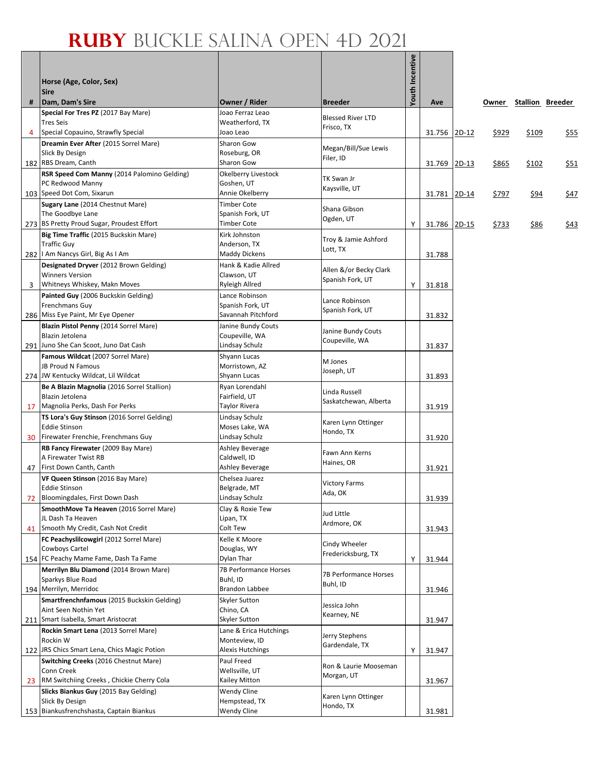|    |                                                                             |                                        |                                   | Youth Incentive |              |         |              |                        |      |
|----|-----------------------------------------------------------------------------|----------------------------------------|-----------------------------------|-----------------|--------------|---------|--------------|------------------------|------|
|    | Horse (Age, Color, Sex)<br><b>Sire</b>                                      |                                        |                                   |                 |              |         |              |                        |      |
| #  | Dam, Dam's Sire                                                             | Owner / Rider                          | <b>Breeder</b>                    |                 | Ave          |         |              | Owner Stallion Breeder |      |
|    | Special For Tres PZ (2017 Bay Mare)                                         | Joao Ferraz Leao                       | <b>Blessed River LTD</b>          |                 |              |         |              |                        |      |
|    | <b>Tres Seis</b>                                                            | Weatherford, TX                        | Frisco, TX                        |                 |              |         |              |                        |      |
| 4  | Special Copauino, Strawfly Special<br>Dreamin Ever After (2015 Sorrel Mare) | Joao Leao<br>Sharon Gow                |                                   |                 | 31.756 2D-12 |         | \$929        | \$109                  | \$55 |
|    | Slick By Design                                                             | Roseburg, OR                           | Megan/Bill/Sue Lewis              |                 |              |         |              |                        |      |
|    | 182 RBS Dream, Canth                                                        | Sharon Gow                             | Filer, ID                         |                 | 31.769       | $2D-13$ | \$865        | \$102                  | \$51 |
|    | RSR Speed Com Manny (2014 Palomino Gelding)                                 | Okelberry Livestock                    | TK Swan Jr                        |                 |              |         |              |                        |      |
|    | PC Redwood Manny<br>103 Speed Dot Com, Sixarun                              | Goshen, UT<br>Annie Okelberry          | Kaysville, UT                     |                 |              |         |              |                        |      |
|    | Sugary Lane (2014 Chestnut Mare)                                            | Timber Cote                            |                                   |                 | 31.781 2D-14 |         | <u>\$797</u> | <u>\$94</u>            | \$47 |
|    | The Goodbye Lane                                                            | Spanish Fork, UT                       | Shana Gibson                      |                 |              |         |              |                        |      |
|    | 273 BS Pretty Proud Sugar, Proudest Effort                                  | <b>Timber Cote</b>                     | Ogden, UT                         | Y               | 31.786 2D-15 |         | <u>\$733</u> | \$86                   | \$43 |
|    | Big Time Traffic (2015 Buckskin Mare)                                       | Kirk Johnston                          | Troy & Jamie Ashford              |                 |              |         |              |                        |      |
|    | <b>Traffic Guy</b><br>282   Am Nancys Girl, Big As I Am                     | Anderson, TX<br>Maddy Dickens          | Lott, TX                          |                 | 31.788       |         |              |                        |      |
|    | Designated Dryver (2012 Brown Gelding)                                      | Hank & Kadie Allred                    |                                   |                 |              |         |              |                        |      |
|    | <b>Winners Version</b>                                                      | Clawson, UT                            | Allen &/or Becky Clark            |                 |              |         |              |                        |      |
| 3  | Whitneys Whiskey, Makn Moves                                                | Ryleigh Allred                         | Spanish Fork, UT                  | Y               | 31.818       |         |              |                        |      |
|    | Painted Guy (2006 Buckskin Gelding)                                         | Lance Robinson                         | Lance Robinson                    |                 |              |         |              |                        |      |
|    | Frenchmans Guy                                                              | Spanish Fork, UT<br>Savannah Pitchford | Spanish Fork, UT                  |                 |              |         |              |                        |      |
|    | 286 Miss Eye Paint, Mr Eye Opener<br>Blazin Pistol Penny (2014 Sorrel Mare) | Janine Bundy Couts                     |                                   |                 | 31.832       |         |              |                        |      |
|    | Blazin Jetolena                                                             | Coupeville, WA                         | Janine Bundy Couts                |                 |              |         |              |                        |      |
|    | 291 Juno She Can Scoot, Juno Dat Cash                                       | Lindsay Schulz                         | Coupeville, WA                    |                 | 31.837       |         |              |                        |      |
|    | Famous Wildcat (2007 Sorrel Mare)                                           | Shyann Lucas                           | M Jones                           |                 |              |         |              |                        |      |
|    | JB Proud N Famous<br>274 JW Kentucky Wildcat, Lil Wildcat                   | Morristown, AZ                         | Joseph, UT                        |                 |              |         |              |                        |      |
|    | Be A Blazin Magnolia (2016 Sorrel Stallion)                                 | Shyann Lucas<br>Ryan Lorendahl         |                                   |                 | 31.893       |         |              |                        |      |
|    | Blazin Jetolena                                                             | Fairfield, UT                          | Linda Russell                     |                 |              |         |              |                        |      |
|    | 17 Magnolia Perks, Dash For Perks                                           | Taylor Rivera                          | Saskatchewan, Alberta             |                 | 31.919       |         |              |                        |      |
|    | TS Lora's Guy Stinson (2016 Sorrel Gelding)                                 | Lindsay Schulz                         | Karen Lynn Ottinger               |                 |              |         |              |                        |      |
|    | <b>Eddie Stinson</b><br>Firewater Frenchie, Frenchmans Guy                  | Moses Lake, WA<br>Lindsay Schulz       | Hondo, TX                         |                 |              |         |              |                        |      |
| 30 | RB Fancy Firewater (2009 Bay Mare)                                          | Ashley Beverage                        |                                   |                 | 31.920       |         |              |                        |      |
|    | A Firewater Twist RB                                                        | Caldwell, ID                           | Fawn Ann Kerns                    |                 |              |         |              |                        |      |
| 47 | First Down Canth, Canth                                                     | Ashley Beverage                        | Haines, OR                        |                 | 31.921       |         |              |                        |      |
|    | VF Queen Stinson (2016 Bay Mare)                                            | Chelsea Juarez                         | <b>Victory Farms</b>              |                 |              |         |              |                        |      |
| 72 | <b>Eddie Stinson</b><br>Bloomingdales, First Down Dash                      | Belgrade, MT<br>Lindsay Schulz         | Ada, OK                           |                 | 31.939       |         |              |                        |      |
|    | SmoothMove Ta Heaven (2016 Sorrel Mare)                                     | Clay & Roxie Tew                       |                                   |                 |              |         |              |                        |      |
|    | JL Dash Ta Heaven                                                           | Lipan, TX                              | Jud Little<br>Ardmore, OK         |                 |              |         |              |                        |      |
| 41 | Smooth My Credit, Cash Not Credit                                           | Colt Tew                               |                                   |                 | 31.943       |         |              |                        |      |
|    | FC Peachyslilcowgirl (2012 Sorrel Mare)                                     | Kelle K Moore                          | Cindy Wheeler                     |                 |              |         |              |                        |      |
|    | Cowboys Cartel<br>154 FC Peachy Mame Fame, Dash Ta Fame                     | Douglas, WY<br>Dylan Thar              | Fredericksburg, TX                | Y               | 31.944       |         |              |                        |      |
|    | Merrilyn Blu Diamond (2014 Brown Mare)                                      | 7B Performance Horses                  |                                   |                 |              |         |              |                        |      |
|    | Sparkys Blue Road                                                           | Buhl, ID                               | 7B Performance Horses<br>Buhl, ID |                 |              |         |              |                        |      |
|    | 194 Merrilyn, Merridoc                                                      | Brandon Labbee                         |                                   |                 | 31.946       |         |              |                        |      |
|    | Smartfrenchnfamous (2015 Buckskin Gelding)                                  | Skyler Sutton                          | Jessica John                      |                 |              |         |              |                        |      |
|    | Aint Seen Nothin Yet<br>211 Smart Isabella, Smart Aristocrat                | Chino, CA<br>Skyler Sutton             | Kearney, NE                       |                 | 31.947       |         |              |                        |      |
|    | Rockin Smart Lena (2013 Sorrel Mare)                                        | Lane & Erica Hutchings                 |                                   |                 |              |         |              |                        |      |
|    | Rockin W                                                                    | Monteview, ID                          | Jerry Stephens<br>Gardendale, TX  |                 |              |         |              |                        |      |
|    | 122 JRS Chics Smart Lena, Chics Magic Potion                                | <b>Alexis Hutchings</b>                |                                   | Y               | 31.947       |         |              |                        |      |
|    | <b>Switching Creeks (2016 Chestnut Mare)</b>                                | Paul Freed                             | Ron & Laurie Mooseman             |                 |              |         |              |                        |      |
| 23 | Conn Creek<br>RM Switchiing Creeks, Chickie Cherry Cola                     | Wellsville, UT<br>Kailey Mitton        | Morgan, UT                        |                 | 31.967       |         |              |                        |      |
|    | Slicks Biankus Guy (2015 Bay Gelding)                                       | Wendy Cline                            |                                   |                 |              |         |              |                        |      |
|    | Slick By Design                                                             | Hempstead, TX                          | Karen Lynn Ottinger<br>Hondo, TX  |                 |              |         |              |                        |      |
|    | 153 Biankusfrenchshasta, Captain Biankus                                    | Wendy Cline                            |                                   |                 | 31.981       |         |              |                        |      |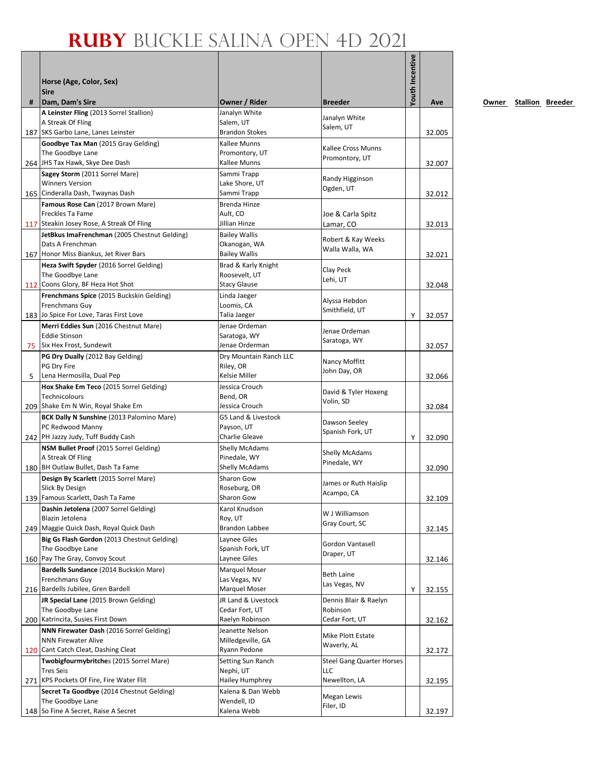|   | Horse (Age, Color, Sex)<br><b>Sire</b>                                         |                                      |                                       | <b>Youth Incentive</b> |        |
|---|--------------------------------------------------------------------------------|--------------------------------------|---------------------------------------|------------------------|--------|
| # | Dam, Dam's Sire                                                                | Owner / Rider                        | <b>Breeder</b>                        |                        | Ave    |
|   | A Leinster Fling (2013 Sorrel Stallion)                                        | Janalyn White                        | Janalyn White                         |                        |        |
|   | A Streak Of Fling                                                              | Salem, UT                            | Salem, UT                             |                        |        |
|   | 187 SKS Garbo Lane, Lanes Leinster                                             | <b>Brandon Stokes</b>                |                                       |                        | 32.005 |
|   | Goodbye Tax Man (2015 Gray Gelding)<br>The Goodbye Lane                        | Kallee Munns<br>Promontory, UT       | Kallee Cross Munns                    |                        |        |
|   | 264 JHS Tax Hawk, Skye Dee Dash                                                | Kallee Munns                         | Promontory, UT                        |                        | 32.007 |
|   | Sagey Storm (2011 Sorrel Mare)                                                 | Sammi Trapp                          | Randy Higginson                       |                        |        |
|   | <b>Winners Version</b>                                                         | Lake Shore, UT                       | Ogden, UT                             |                        |        |
|   | 165 Cinderalla Dash, Twaynas Dash                                              | Sammi Trapp                          |                                       |                        | 32.012 |
|   | Famous Rose Can (2017 Brown Mare)<br>Freckles Ta Fame                          | Brenda Hinze<br>Ault, CO             | Joe & Carla Spitz                     |                        |        |
|   | 117 Steakin Josey Rose, A Streak Of Fling                                      | Jillian Hinze                        | Lamar, CO                             |                        | 32.013 |
|   | JetBkus ImaFrenchman (2005 Chestnut Gelding)                                   | <b>Bailey Wallis</b>                 |                                       |                        |        |
|   | Dats A Frenchman                                                               | Okanogan, WA                         | Robert & Kay Weeks<br>Walla Walla, WA |                        |        |
|   | 167 Honor Miss Biankus, Jet River Bars                                         | <b>Bailey Wallis</b>                 |                                       |                        | 32.021 |
|   | Heza Swift Spyder (2016 Sorrel Gelding)<br>The Goodbye Lane                    | Brad & Karly Knight                  | Clay Peck                             |                        |        |
|   | 112 Coons Glory, BF Heza Hot Shot                                              | Roosevelt, UT<br><b>Stacy Glause</b> | Lehi, UT                              |                        | 32.048 |
|   | Frenchmans Spice (2015 Buckskin Gelding)                                       | Linda Jaeger                         |                                       |                        |        |
|   | Frenchmans Guy                                                                 | Loomis, CA                           | Alyssa Hebdon<br>Smithfield, UT       |                        |        |
|   | 183 Jo Spice For Love, Taras First Love                                        | Talia Jaeger                         |                                       | Υ                      | 32.057 |
|   | Merri Eddies Sun (2016 Chestnut Mare)                                          | Jenae Ordeman                        | Jenae Ordeman                         |                        |        |
|   | <b>Eddie Stinson</b><br>75 Six Hex Frost, Sundewit                             | Saratoga, WY<br>Jenae Orderman       | Saratoga, WY                          |                        | 32.057 |
|   | PG Dry Dually (2012 Bay Gelding)                                               | Dry Mountain Ranch LLC               |                                       |                        |        |
|   | PG Dry Fire                                                                    | Riley, OR                            | Nancy Moffitt                         |                        |        |
| 5 | Lena Hermosilla, Dual Pep                                                      | Kelsie Miller                        | John Day, OR                          |                        | 32.066 |
|   | Hox Shake Em Teco (2015 Sorrel Gelding)                                        | Jessica Crouch                       | David & Tyler Hoxeng                  |                        |        |
|   | Technicolours<br>209 Shake Em N Win, Royal Shake Em                            | Bend, OR<br>Jessica Crouch           | Volin, SD                             |                        | 32.084 |
|   | BCK Dally N Sunshine (2013 Palomino Mare)                                      | G5 Land & Livestock                  |                                       |                        |        |
|   | PC Redwood Manny                                                               | Payson, UT                           | Dawson Seeley                         |                        |        |
|   | 242 PH Jazzy Judy, Tuff Buddy Cash                                             | Charlie Gleave                       | Spanish Fork, UT                      | Y                      | 32.090 |
|   | NSM Bullet Proof (2015 Sorrel Gelding)                                         | <b>Shelly McAdams</b>                | Shelly McAdams                        |                        |        |
|   | A Streak Of Fling<br>180 BH Outlaw Bullet, Dash Ta Fame                        | Pinedale, WY<br>Shelly McAdams       | Pinedale, WY                          |                        | 32.090 |
|   | Design By Scarlett (2015 Sorrel Mare)                                          | Sharon Gow                           |                                       |                        |        |
|   | Slick By Design                                                                | Roseburg, OR                         | James or Ruth Haislip                 |                        |        |
|   | 139 Famous Scarlett, Dash Ta Fame                                              | Sharon Gow                           | Acampo, CA                            |                        | 32.109 |
|   | Dashin Jetolena (2007 Sorrel Gelding)                                          | Karol Knudson                        | W J Williamson                        |                        |        |
|   | Blazin Jetolena<br>249 Maggie Quick Dash, Royal Quick Dash                     | Roy, UT<br>Brandon Labbee            | Gray Court, SC                        |                        |        |
|   | Big Gs Flash Gordon (2013 Chestnut Gelding)                                    | Laynee Giles                         |                                       |                        | 32.145 |
|   | The Goodbye Lane                                                               | Spanish Fork, UT                     | Gordon Vantasell                      |                        |        |
|   | 160 Pay The Gray, Convoy Scout                                                 | Laynee Giles                         | Draper, UT                            |                        | 32.146 |
|   | Bardells Sundance (2014 Buckskin Mare)                                         | Marquel Moser                        | Beth Laine                            |                        |        |
|   | Frenchmans Guy<br>216 Bardells Jubilee, Gren Bardell                           | Las Vegas, NV                        | Las Vegas, NV                         |                        |        |
|   | JR Special Lane (2015 Brown Gelding)                                           | Marquel Moser<br>JR Land & Livestock | Dennis Blair & Raelyn                 | Υ                      | 32.155 |
|   | The Goodbye Lane                                                               | Cedar Fort, UT                       | Robinson                              |                        |        |
|   | 200 Katrincita, Susies First Down                                              | Raelyn Robinson                      | Cedar Fort, UT                        |                        | 32.162 |
|   | NNN Firewater Dash (2016 Sorrel Gelding)                                       | Jeanette Nelson                      | Mike Plott Estate                     |                        |        |
|   | <b>NNN Firewater Alive</b>                                                     | Milledgeville, GA                    | Waverly, AL                           |                        |        |
|   | 120 Cant Catch Cleat, Dashing Cleat<br>Twobigfourmybritches (2015 Sorrel Mare) | Ryann Pedone<br>Setting Sun Ranch    | <b>Steel Gang Quarter Horses</b>      |                        | 32.172 |
|   | <b>Tres Seis</b>                                                               | Nephi, UT                            | LLC                                   |                        |        |
|   | 271 KPS Pockets Of Fire, Fire Water Flit                                       | <b>Hailey Humphrey</b>               | Newellton, LA                         |                        | 32.195 |
|   | Secret Ta Goodbye (2014 Chestnut Gelding)                                      | Kalena & Dan Webb                    | Megan Lewis                           |                        |        |
|   | The Goodbye Lane                                                               | Wendell, ID                          | Filer, ID                             |                        |        |
|   | 148 So Fine A Secret, Raise A Secret                                           | Kalena Webb                          |                                       |                        | 32.197 |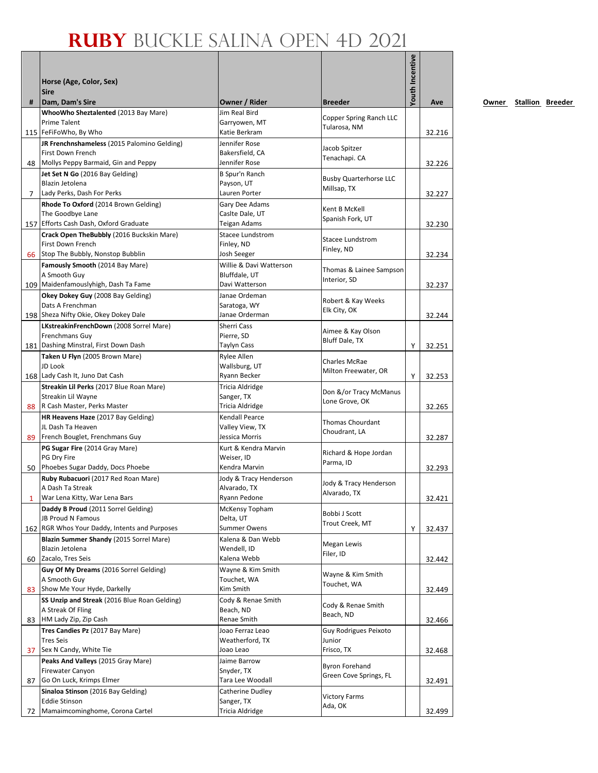|                | Horse (Age, Color, Sex)                                   |                                    |                                          | Youth Incentive |        |
|----------------|-----------------------------------------------------------|------------------------------------|------------------------------------------|-----------------|--------|
| #              | <b>Sire</b><br>Dam, Dam's Sire                            | Owner / Rider                      | <b>Breeder</b>                           |                 | Ave    |
|                | WhooWho Sheztalented (2013 Bay Mare)                      | Jim Real Bird                      |                                          |                 |        |
|                | Prime Talent                                              | Garryowen, MT                      | Copper Spring Ranch LLC                  |                 |        |
|                | 115 FeFiFoWho, By Who                                     | Katie Berkram                      | Tularosa, NM                             |                 | 32.216 |
|                | JR Frenchnshameless (2015 Palomino Gelding)               | Jennifer Rose                      |                                          |                 |        |
|                | First Down French                                         | Bakersfield, CA                    | Jacob Spitzer<br>Tenachapi. CA           |                 |        |
|                | 48 Mollys Peppy Barmaid, Gin and Peppy                    | Jennifer Rose                      |                                          |                 | 32.226 |
|                | Jet Set N Go (2016 Bay Gelding)                           | B Spur'n Ranch                     | <b>Busby Quarterhorse LLC</b>            |                 |        |
|                | Blazin Jetolena                                           | Payson, UT                         | Millsap, TX                              |                 |        |
| $\overline{7}$ | Lady Perks, Dash For Perks                                | Lauren Porter                      |                                          |                 | 32.227 |
|                | Rhode To Oxford (2014 Brown Gelding)<br>The Goodbye Lane  | Gary Dee Adams<br>Caslte Dale, UT  | Kent B McKell                            |                 |        |
|                | 157 Efforts Cash Dash, Oxford Graduate                    | Teigan Adams                       | Spanish Fork, UT                         |                 | 32.230 |
|                | Crack Open TheBubbly (2016 Buckskin Mare)                 | Stacee Lundstrom                   |                                          |                 |        |
|                | First Down French                                         | Finley, ND                         | Stacee Lundstrom                         |                 |        |
|                | 66 Stop The Bubbly, Nonstop Bubblin                       | Josh Seeger                        | Finley, ND                               |                 | 32.234 |
|                | Famously Smooth (2014 Bay Mare)                           | Willie & Davi Watterson            |                                          |                 |        |
|                | A Smooth Guy                                              | Bluffdale, UT                      | Thomas & Lainee Sampson<br>Interior, SD  |                 |        |
|                | 109 Maidenfamouslyhigh, Dash Ta Fame                      | Davi Watterson                     |                                          |                 | 32.237 |
|                | Okey Dokey Guy (2008 Bay Gelding)                         | Janae Ordeman                      | Robert & Kay Weeks                       |                 |        |
|                | Dats A Frenchman                                          | Saratoga, WY                       | Elk City, OK                             |                 |        |
|                | 198 Sheza Nifty Okie, Okey Dokey Dale                     | Janae Orderman                     |                                          |                 | 32.244 |
|                | LKstreakinFrenchDown (2008 Sorrel Mare)<br>Frenchmans Guy | Sherri Cass<br>Pierre, SD          | Aimee & Kay Olson                        |                 |        |
|                | 181 Dashing Minstral, First Down Dash                     | <b>Taylyn Cass</b>                 | Bluff Dale, TX                           | Υ               | 32.251 |
|                | Taken U Flyn (2005 Brown Mare)                            | Rylee Allen                        |                                          |                 |        |
|                | JD Look                                                   | Wallsburg, UT                      | <b>Charles McRae</b>                     |                 |        |
|                | 168 Lady Cash It, Juno Dat Cash                           | Ryann Becker                       | Milton Freewater, OR                     | Y               | 32.253 |
|                | Streakin Lil Perks (2017 Blue Roan Mare)                  | Tricia Aldridge                    |                                          |                 |        |
|                | Streakin Lil Wayne                                        | Sanger, TX                         | Don &/or Tracy McManus<br>Lone Grove, OK |                 |        |
|                | 88 R Cash Master, Perks Master                            | Tricia Aldridge                    |                                          |                 | 32.265 |
|                | HR Heavens Haze (2017 Bay Gelding)                        | Kendall Pearce                     | <b>Thomas Chourdant</b>                  |                 |        |
|                | JL Dash Ta Heaven                                         | Valley View, TX                    | Choudrant, LA                            |                 |        |
|                | 89 French Bouglet, Frenchmans Guy                         | Jessica Morris                     |                                          |                 | 32.287 |
|                | PG Sugar Fire (2014 Gray Mare)<br>PG Dry Fire             | Kurt & Kendra Marvin<br>Weiser, ID | Richard & Hope Jordan                    |                 |        |
|                | 50 Phoebes Sugar Daddy, Docs Phoebe                       | Kendra Marvin                      | Parma, ID                                |                 | 32.293 |
|                | Ruby Rubacuori (2017 Red Roan Mare)                       | Jody & Tracy Henderson             |                                          |                 |        |
|                | A Dash Ta Streak                                          | Alvarado, TX                       | Jody & Tracy Henderson                   |                 |        |
| 1              | War Lena Kitty, War Lena Bars                             | Ryann Pedone                       | Alvarado, TX                             |                 | 32.421 |
|                | Daddy B Proud (2011 Sorrel Gelding)                       | McKensy Topham                     | Bobbi J Scott                            |                 |        |
|                | <b>JB Proud N Famous</b>                                  | Delta, UT                          | Trout Creek, MT                          |                 |        |
|                | 162 RGR Whos Your Daddy, Intents and Purposes             | <b>Summer Owens</b>                |                                          | Υ               | 32.437 |
|                | Blazin Summer Shandy (2015 Sorrel Mare)                   | Kalena & Dan Webb                  | Megan Lewis                              |                 |        |
|                | Blazin Jetolena<br>60 Zacalo, Tres Seis                   | Wendell, ID<br>Kalena Webb         | Filer, ID                                |                 | 32.442 |
|                | Guy Of My Dreams (2016 Sorrel Gelding)                    | Wayne & Kim Smith                  |                                          |                 |        |
|                | A Smooth Guy                                              | Touchet, WA                        | Wayne & Kim Smith                        |                 |        |
|                | 83 Show Me Your Hyde, Darkelly                            | Kim Smith                          | Touchet, WA                              |                 | 32.449 |
|                | SS Unzip and Streak (2016 Blue Roan Gelding)              | Cody & Renae Smith                 |                                          |                 |        |
|                | A Streak Of Fling                                         | Beach, ND                          | Cody & Renae Smith<br>Beach, ND          |                 |        |
|                | 83 HM Lady Zip, Zip Cash                                  | Renae Smith                        |                                          |                 | 32.466 |
|                | Tres Candies Pz (2017 Bay Mare)                           | Joao Ferraz Leao                   | Guy Rodrigues Peixoto                    |                 |        |
|                | <b>Tres Seis</b>                                          | Weatherford, TX                    | Junior                                   |                 |        |
|                | 37 Sex N Candy, White Tie                                 | Joao Leao                          | Frisco, TX                               |                 | 32.468 |
|                | Peaks And Valleys (2015 Gray Mare)                        | Jaime Barrow                       | <b>Byron Forehand</b>                    |                 |        |
|                | <b>Firewater Canyon</b><br>87 Go On Luck, Krimps Elmer    | Snyder, TX<br>Tara Lee Woodall     | Green Cove Springs, FL                   |                 |        |
|                | Sinaloa Stinson (2016 Bay Gelding)                        | Catherine Dudley                   |                                          |                 | 32.491 |
|                | <b>Eddie Stinson</b>                                      | Sanger, TX                         | <b>Victory Farms</b>                     |                 |        |
|                | 72 Mamaimcominghome, Corona Cartel                        | Tricia Aldridge                    | Ada, OK                                  |                 | 32.499 |
|                |                                                           |                                    |                                          |                 |        |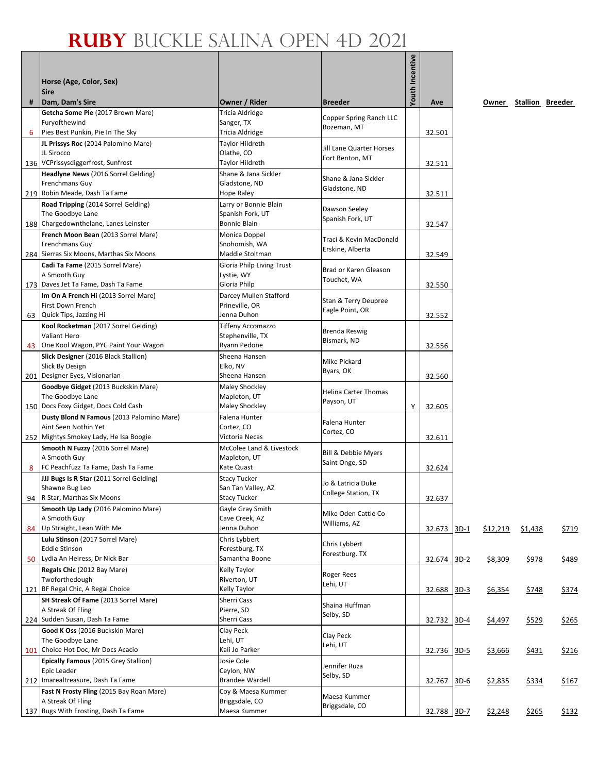|   |                                                                |                                    |                                             | <b>Youth Incentive</b> |             |        |          |                        |              |
|---|----------------------------------------------------------------|------------------------------------|---------------------------------------------|------------------------|-------------|--------|----------|------------------------|--------------|
|   | Horse (Age, Color, Sex)                                        |                                    |                                             |                        |             |        |          |                        |              |
|   | <b>Sire</b>                                                    |                                    |                                             |                        |             |        |          |                        |              |
| # | Dam, Dam's Sire<br>Getcha Some Pie (2017 Brown Mare)           | Owner / Rider<br>Tricia Aldridge   | <b>Breeder</b>                              |                        | Ave         |        |          | Owner Stallion Breeder |              |
|   | Furyofthewind                                                  | Sanger, TX                         | Copper Spring Ranch LLC                     |                        |             |        |          |                        |              |
| 6 | Pies Best Punkin, Pie In The Sky                               | Tricia Aldridge                    | Bozeman, MT                                 |                        | 32.501      |        |          |                        |              |
|   | JL Prissys Roc (2014 Palomino Mare)                            | Taylor Hildreth                    |                                             |                        |             |        |          |                        |              |
|   | JL Sirocco                                                     | Olathe, CO                         | Jill Lane Quarter Horses<br>Fort Benton, MT |                        |             |        |          |                        |              |
|   | 136 VCPrissysdiggerfrost, Sunfrost                             | Taylor Hildreth                    |                                             |                        | 32.511      |        |          |                        |              |
|   | Headlyne News (2016 Sorrel Gelding)                            | Shane & Jana Sickler               | Shane & Jana Sickler                        |                        |             |        |          |                        |              |
|   | Frenchmans Guy<br>219 Robin Meade, Dash Ta Fame                | Gladstone, ND<br>Hope Raley        | Gladstone, ND                               |                        | 32.511      |        |          |                        |              |
|   | Road Tripping (2014 Sorrel Gelding)                            | Larry or Bonnie Blain              |                                             |                        |             |        |          |                        |              |
|   | The Goodbye Lane                                               | Spanish Fork, UT                   | Dawson Seeley                               |                        |             |        |          |                        |              |
|   | 188 Chargedownthelane, Lanes Leinster                          | Bonnie Blain                       | Spanish Fork, UT                            |                        | 32.547      |        |          |                        |              |
|   | French Moon Bean (2013 Sorrel Mare)                            | Monica Doppel                      | Traci & Kevin MacDonald                     |                        |             |        |          |                        |              |
|   | Frenchmans Guy                                                 | Snohomish, WA                      | Erskine, Alberta                            |                        |             |        |          |                        |              |
|   | 284 Sierras Six Moons, Marthas Six Moons                       | Maddie Stoltman                    |                                             |                        | 32.549      |        |          |                        |              |
|   | Cadi Ta Fame (2015 Sorrel Mare)                                | Gloria Philp Living Trust          | Brad or Karen Gleason                       |                        |             |        |          |                        |              |
|   | A Smooth Guy<br>173 Daves Jet Ta Fame, Dash Ta Fame            | Lystie, WY<br>Gloria Philp         | Touchet, WA                                 |                        | 32.550      |        |          |                        |              |
|   | Im On A French Hi (2013 Sorrel Mare)                           | Darcey Mullen Stafford             |                                             |                        |             |        |          |                        |              |
|   | First Down French                                              | Prineville, OR                     | Stan & Terry Deupree                        |                        |             |        |          |                        |              |
|   | 63 Quick Tips, Jazzing Hi                                      | Jenna Duhon                        | Eagle Point, OR                             |                        | 32.552      |        |          |                        |              |
|   | Kool Rocketman (2017 Sorrel Gelding)                           | Tiffeny Accomazzo                  | <b>Brenda Reswig</b>                        |                        |             |        |          |                        |              |
|   | <b>Valiant Hero</b>                                            | Stephenville, TX                   | Bismark, ND                                 |                        |             |        |          |                        |              |
|   | 43 One Kool Wagon, PYC Paint Your Wagon                        | Ryann Pedone                       |                                             |                        | 32.556      |        |          |                        |              |
|   | Slick Designer (2016 Black Stallion)<br>Slick By Design        | Sheena Hansen<br>Elko, NV          | Mike Pickard                                |                        |             |        |          |                        |              |
|   | 201 Designer Eyes, Visionarian                                 | Sheena Hansen                      | Byars, OK                                   |                        | 32.560      |        |          |                        |              |
|   | Goodbye Gidget (2013 Buckskin Mare)                            | Maley Shockley                     |                                             |                        |             |        |          |                        |              |
|   | The Goodbye Lane                                               | Mapleton, UT                       | <b>Helina Carter Thomas</b><br>Payson, UT   |                        |             |        |          |                        |              |
|   | 150 Docs Foxy Gidget, Docs Cold Cash                           | Maley Shockley                     |                                             | Υ                      | 32.605      |        |          |                        |              |
|   | Dusty Blond N Famous (2013 Palomino Mare)                      | Falena Hunter                      | Falena Hunter                               |                        |             |        |          |                        |              |
|   | Aint Seen Nothin Yet<br>252 Mightys Smokey Lady, He Isa Boogie | Cortez, CO<br>Victoria Necas       | Cortez, CO                                  |                        | 32.611      |        |          |                        |              |
|   | Smooth N Fuzzy (2016 Sorrel Mare)                              | McColee Land & Livestock           |                                             |                        |             |        |          |                        |              |
|   | A Smooth Guy                                                   | Mapleton, UT                       | Bill & Debbie Myers                         |                        |             |        |          |                        |              |
| 8 | FC Peachfuzz Ta Fame, Dash Ta Fame                             | Kate Quast                         | Saint Onge, SD                              |                        | 32.624      |        |          |                        |              |
|   | JJJ Bugs Is R Star (2011 Sorrel Gelding)                       | <b>Stacy Tucker</b>                | Jo & Latricia Duke                          |                        |             |        |          |                        |              |
|   | Shawne Bug Leo                                                 | San Tan Valley, AZ                 | College Station, TX                         |                        |             |        |          |                        |              |
|   | 94 R Star, Marthas Six Moons                                   | <b>Stacy Tucker</b>                |                                             |                        | 32.637      |        |          |                        |              |
|   | Smooth Up Lady (2016 Palomino Mare)<br>A Smooth Guy            | Gayle Gray Smith<br>Cave Creek, AZ | Mike Oden Cattle Co                         |                        |             |        |          |                        |              |
|   | 84 Up Straight, Lean With Me                                   | Jenna Duhon                        | Williams, AZ                                |                        | 32.673      | $3D-1$ | \$12,219 | \$1,438                | \$719        |
|   | Lulu Stinson (2017 Sorrel Mare)                                | Chris Lybbert                      |                                             |                        |             |        |          |                        |              |
|   | <b>Eddie Stinson</b>                                           | Forestburg, TX                     | Chris Lybbert<br>Forestburg. TX             |                        |             |        |          |                        |              |
|   | 50 Lydia An Heiress, Dr Nick Bar                               | Samantha Boone                     |                                             |                        | 32.674      | $3D-2$ | \$8,309  | <u>\$978</u>           | <u>\$489</u> |
|   | Regals Chic (2012 Bay Mare)                                    | Kelly Taylor                       | Roger Rees                                  |                        |             |        |          |                        |              |
|   | Twoforthedough<br>121 BF Regal Chic, A Regal Choice            | Riverton, UT<br>Kelly Taylor       | Lehi, UT                                    |                        |             |        |          |                        |              |
|   | SH Streak Of Fame (2013 Sorrel Mare)                           | Sherri Cass                        |                                             |                        | 32.688      | $3D-3$ | \$6,354  | \$748                  | \$374        |
|   | A Streak Of Fling                                              | Pierre, SD                         | Shaina Huffman                              |                        |             |        |          |                        |              |
|   | 224 Sudden Susan, Dash Ta Fame                                 | Sherri Cass                        | Selby, SD                                   |                        | 32.732      | $3D-4$ | \$4,497  | \$529                  | \$265        |
|   | Good K Oss (2016 Buckskin Mare)                                | Clay Peck                          | Clay Peck                                   |                        |             |        |          |                        |              |
|   | The Goodbye Lane                                               | Lehi, UT                           | Lehi, UT                                    |                        |             |        |          |                        |              |
|   | 101 Choice Hot Doc, Mr Docs Acacio                             | Kali Jo Parker                     |                                             |                        | 32.736      | $3D-5$ | \$3,666  | <u>\$431</u>           | \$216        |
|   | Epically Famous (2015 Grey Stallion)<br>Epic Leader            | Josie Cole<br>Ceylon, NW           | Jennifer Ruza                               |                        |             |        |          |                        |              |
|   | 212 Imarealtreasure, Dash Ta Fame                              | <b>Brandee Wardell</b>             | Selby, SD                                   |                        | 32.767      | $3D-6$ | \$2,835  | <u>\$334</u>           | <u>\$167</u> |
|   | Fast N Frosty Fling (2015 Bay Roan Mare)                       | Coy & Maesa Kummer                 |                                             |                        |             |        |          |                        |              |
|   | A Streak Of Fling                                              | Briggsdale, CO                     | Maesa Kummer<br>Briggsdale, CO              |                        |             |        |          |                        |              |
|   | 137 Bugs With Frosting, Dash Ta Fame                           | Maesa Kummer                       |                                             |                        | 32.788 3D-7 |        | \$2,248  | <u>\$265</u>           | <u>\$132</u> |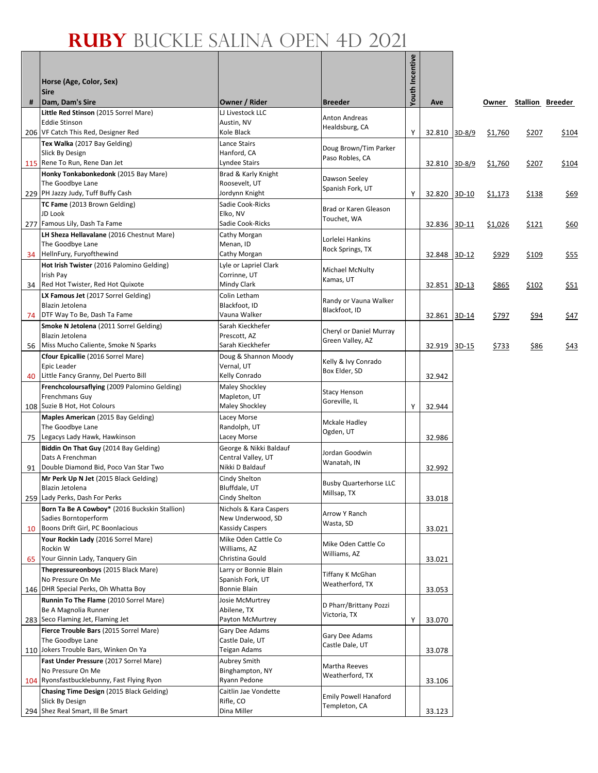|    |                                                                       |                                              |                                              | Youth Incentive |               |         |                        |             |
|----|-----------------------------------------------------------------------|----------------------------------------------|----------------------------------------------|-----------------|---------------|---------|------------------------|-------------|
|    | Horse (Age, Color, Sex)                                               |                                              |                                              |                 |               |         |                        |             |
| #  | <b>Sire</b><br>Dam, Dam's Sire                                        | Owner / Rider                                | <b>Breeder</b>                               |                 | Ave           |         | Owner Stallion Breeder |             |
|    | Little Red Stinson (2015 Sorrel Mare)                                 | LJ Livestock LLC                             |                                              |                 |               |         |                        |             |
|    | <b>Eddie Stinson</b>                                                  | Austin, NV                                   | Anton Andreas<br>Healdsburg, CA              |                 |               |         |                        |             |
|    | 206 VF Catch This Red, Designer Red                                   | Kole Black                                   |                                              | Y               | 32.810 3D-8/9 | \$1,760 | \$207                  | \$104       |
|    | Tex Walka (2017 Bay Gelding)<br>Slick By Design                       | Lance Stairs<br>Hanford, CA                  | Doug Brown/Tim Parker                        |                 |               |         |                        |             |
|    | 115 Rene To Run, Rene Dan Jet                                         | Lyndee Stairs                                | Paso Robles, CA                              |                 | 32.810 3D-8/9 | \$1,760 | \$207                  | \$104       |
|    | Honky Tonkabonkedonk (2015 Bay Mare)                                  | Brad & Karly Knight                          |                                              |                 |               |         |                        |             |
|    | The Goodbye Lane                                                      | Roosevelt, UT                                | Dawson Seeley<br>Spanish Fork, UT            |                 |               |         |                        |             |
|    | 229 PH Jazzy Judy, Tuff Buffy Cash                                    | Jordynn Knight                               |                                              | Y               | 32.820 3D-10  | \$1,173 | \$138                  | <u>\$69</u> |
|    | TC Fame (2013 Brown Gelding)<br>JD Look                               | Sadie Cook-Ricks<br>Elko, NV                 | Brad or Karen Gleason                        |                 |               |         |                        |             |
|    | 277 Famous Lily, Dash Ta Fame                                         | Sadie Cook-Ricks                             | Touchet, WA                                  |                 | 32.836 3D-11  | \$1,026 | \$121                  | \$60        |
|    | LH Sheza Hellavalane (2016 Chestnut Mare)                             | Cathy Morgan                                 |                                              |                 |               |         |                        |             |
|    | The Goodbye Lane                                                      | Menan, ID                                    | Lorlelei Hankins<br>Rock Springs, TX         |                 |               |         |                        |             |
|    | 34 HellnFury, Furyofthewind                                           | Cathy Morgan                                 |                                              |                 | 32.848 3D-12  | \$929   | \$109                  | \$55        |
|    | Hot Irish Twister (2016 Palomino Gelding)<br>Irish Pay                | Lyle or Lapriel Clark<br>Corrinne, UT        | Michael McNulty                              |                 |               |         |                        |             |
|    | 34 Red Hot Twister, Red Hot Quixote                                   | Mindy Clark                                  | Kamas, UT                                    |                 | 32.851 3D-13  | \$865   | \$102                  | \$51        |
|    | LX Famous Jet (2017 Sorrel Gelding)                                   | Colin Letham                                 |                                              |                 |               |         |                        |             |
|    | Blazin Jetolena                                                       | Blackfoot, ID                                | Randy or Vauna Walker<br>Blackfoot, ID       |                 |               |         |                        |             |
| 74 | DTF Way To Be, Dash Ta Fame                                           | Vauna Walker                                 |                                              |                 | 32.861 3D-14  | \$797   | \$94                   | \$47        |
|    | Smoke N Jetolena (2011 Sorrel Gelding)                                | Sarah Kieckhefer                             | Cheryl or Daniel Murray                      |                 |               |         |                        |             |
| 56 | Blazin Jetolena<br>Miss Mucho Caliente, Smoke N Sparks                | Prescott, AZ<br>Sarah Kieckhefer             | Green Valley, AZ                             |                 | 32.919 3D-15  | \$733   | \$86                   | \$43        |
|    | Cfour Epicallie (2016 Sorrel Mare)                                    | Doug & Shannon Moody                         |                                              |                 |               |         |                        |             |
|    | Epic Leader                                                           | Vernal, UT                                   | Kelly & Ivy Conrado<br>Box Elder, SD         |                 |               |         |                        |             |
| 40 | Little Fancy Granny, Del Puerto Bill                                  | Kelly Conrado                                |                                              |                 | 32.942        |         |                        |             |
|    | Frenchcoloursaflying (2009 Palomino Gelding)<br>Frenchmans Guy        | Maley Shockley<br>Mapleton, UT               | <b>Stacy Henson</b>                          |                 |               |         |                        |             |
|    | 108 Suzie B Hot, Hot Colours                                          | Maley Shockley                               | Goreville, IL                                | Y               | 32.944        |         |                        |             |
|    | Maples American (2015 Bay Gelding)                                    | Lacey Morse                                  |                                              |                 |               |         |                        |             |
|    | The Goodbye Lane                                                      | Randolph, UT                                 | Mckale Hadley<br>Ogden, UT                   |                 |               |         |                        |             |
| 75 | Legacys Lady Hawk, Hawkinson                                          | Lacey Morse                                  |                                              |                 | 32.986        |         |                        |             |
|    | Biddin On That Guy (2014 Bay Gelding)<br>Dats A Frenchman             | George & Nikki Baldauf<br>Central Valley, UT | Jordan Goodwin                               |                 |               |         |                        |             |
| 91 | Double Diamond Bid, Poco Van Star Two                                 | Nikki D Baldauf                              | Wanatah, IN                                  |                 | 32.992        |         |                        |             |
|    | Mr Perk Up N Jet (2015 Black Gelding)                                 | Cindy Shelton                                |                                              |                 |               |         |                        |             |
|    | Blazin Jetolena                                                       | Bluffdale, UT                                | <b>Busby Quarterhorse LLC</b><br>Millsap, TX |                 |               |         |                        |             |
|    | 259 Lady Perks, Dash For Perks                                        | Cindy Shelton                                |                                              |                 | 33.018        |         |                        |             |
|    | Born Ta Be A Cowboy* (2016 Buckskin Stallion)<br>Sadies Borntoperform | Nichols & Kara Caspers<br>New Underwood, SD  | Arrow Y Ranch                                |                 |               |         |                        |             |
| 10 | Boons Drift Girl, PC Boonlacious                                      | Kassidy Caspers                              | Wasta, SD                                    |                 | 33.021        |         |                        |             |
|    | Your Rockin Lady (2016 Sorrel Mare)                                   | Mike Oden Cattle Co                          |                                              |                 |               |         |                        |             |
|    | Rockin W                                                              | Williams, AZ                                 | Mike Oden Cattle Co<br>Williams, AZ          |                 |               |         |                        |             |
| 65 | Your Ginnin Lady, Tanquery Gin                                        | Christina Gould                              |                                              |                 | 33.021        |         |                        |             |
|    | Thepressureonboys (2015 Black Mare)<br>No Pressure On Me              | Larry or Bonnie Blain<br>Spanish Fork, UT    | Tiffany K McGhan                             |                 |               |         |                        |             |
|    | 146   DHR Special Perks, Oh Whatta Boy                                | Bonnie Blain                                 | Weatherford, TX                              |                 | 33.053        |         |                        |             |
|    | Runnin To The Flame (2010 Sorrel Mare)                                | Josie McMurtrey                              | D Pharr/Brittany Pozzi                       |                 |               |         |                        |             |
|    | Be A Magnolia Runner                                                  | Abilene, TX                                  | Victoria, TX                                 |                 |               |         |                        |             |
|    | 283 Seco Flaming Jet, Flaming Jet                                     | Payton McMurtrey                             |                                              | Y               | 33.070        |         |                        |             |
|    | Fierce Trouble Bars (2015 Sorrel Mare)<br>The Goodbye Lane            | Gary Dee Adams<br>Castle Dale, UT            | Gary Dee Adams                               |                 |               |         |                        |             |
|    | 110 Jokers Trouble Bars, Winken On Ya                                 | Teigan Adams                                 | Castle Dale, UT                              |                 | 33.078        |         |                        |             |
|    | Fast Under Pressure (2017 Sorrel Mare)                                | Aubrey Smith                                 |                                              |                 |               |         |                        |             |
|    | No Pressure On Me                                                     | Binghampton, NY                              | Martha Reeves<br>Weatherford, TX             |                 |               |         |                        |             |
|    | 104 Ryonsfastbucklebunny, Fast Flying Ryon                            | Ryann Pedone                                 |                                              |                 | 33.106        |         |                        |             |
|    | Chasing Time Design (2015 Black Gelding)<br>Slick By Design           | Caitlin Jae Vondette<br>Rifle, CO            | Emily Powell Hanaford                        |                 |               |         |                        |             |
|    | 294 Shez Real Smart, Ill Be Smart                                     | Dina Miller                                  | Templeton, CA                                |                 | 33.123        |         |                        |             |
|    |                                                                       |                                              |                                              |                 |               |         |                        |             |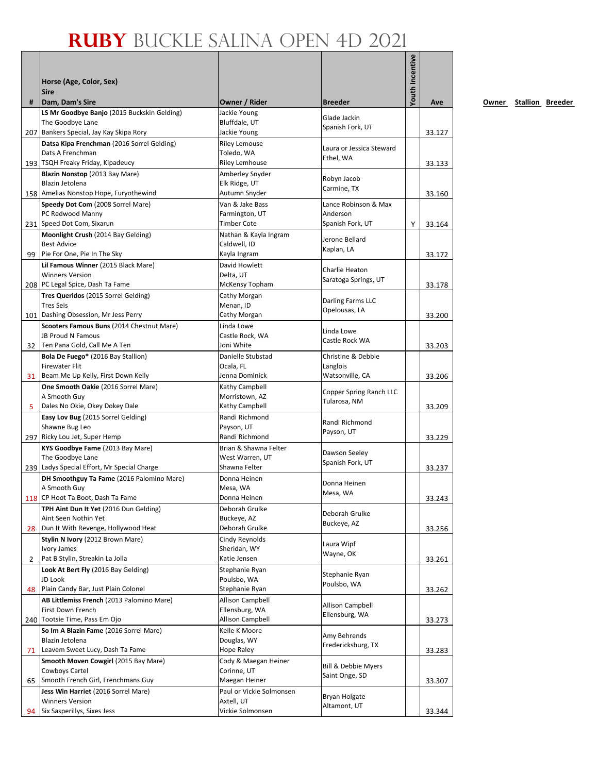|    | Horse (Age, Color, Sex)<br><b>Sire</b>                                                              |                                                             |                                       | Youth Incentive |        |
|----|-----------------------------------------------------------------------------------------------------|-------------------------------------------------------------|---------------------------------------|-----------------|--------|
| #  | Dam, Dam's Sire                                                                                     | Owner / Rider                                               | <b>Breeder</b>                        |                 | Ave    |
|    | LS Mr Goodbye Banjo (2015 Buckskin Gelding)<br>The Goodbye Lane                                     | Jackie Young<br>Bluffdale, UT                               | Glade Jackin<br>Spanish Fork, UT      |                 |        |
|    | 207 Bankers Special, Jay Kay Skipa Rory                                                             | Jackie Young                                                |                                       |                 | 33.127 |
|    | Datsa Kipa Frenchman (2016 Sorrel Gelding)<br>Dats A Frenchman<br>193 TSQH Freaky Friday, Kipadeucy | <b>Riley Lemouse</b><br>Toledo, WA<br><b>Riley Lemhouse</b> | Laura or Jessica Steward<br>Ethel, WA |                 | 33.133 |
|    | Blazin Nonstop (2013 Bay Mare)                                                                      | Amberley Snyder                                             |                                       |                 |        |
|    | Blazin Jetolena<br>158 Amelias Nonstop Hope, Furyothewind                                           | Elk Ridge, UT<br>Autumn Snyder                              | Robyn Jacob<br>Carmine, TX            |                 | 33.160 |
|    | Speedy Dot Com (2008 Sorrel Mare)                                                                   | Van & Jake Bass                                             | Lance Robinson & Max                  |                 |        |
|    | PC Redwood Manny                                                                                    | Farmington, UT                                              | Anderson                              |                 |        |
|    | 231 Speed Dot Com, Sixarun                                                                          | <b>Timber Cote</b>                                          | Spanish Fork, UT                      | Y               | 33.164 |
|    | Moonlight Crush (2014 Bay Gelding)                                                                  | Nathan & Kayla Ingram                                       | Jerone Bellard                        |                 |        |
|    | <b>Best Advice</b>                                                                                  | Caldwell, ID                                                | Kaplan, LA                            |                 |        |
|    | 99   Pie For One, Pie In The Sky                                                                    | Kayla Ingram                                                |                                       |                 | 33.172 |
|    | Lil Famous Winner (2015 Black Mare)<br><b>Winners Version</b>                                       | David Howlett<br>Delta, UT                                  | Charlie Heaton                        |                 |        |
|    | 208   PC Legal Spice, Dash Ta Fame                                                                  | McKensy Topham                                              | Saratoga Springs, UT                  |                 | 33.178 |
|    | Tres Queridos (2015 Sorrel Gelding)                                                                 | Cathy Morgan                                                |                                       |                 |        |
|    | <b>Tres Seis</b>                                                                                    | Menan, ID                                                   | Darling Farms LLC<br>Opelousas, LA    |                 |        |
|    | 101 Dashing Obsession, Mr Jess Perry                                                                | Cathy Morgan                                                |                                       |                 | 33.200 |
|    | Scooters Famous Buns (2014 Chestnut Mare)                                                           | Linda Lowe                                                  | Linda Lowe                            |                 |        |
|    | <b>JB Proud N Famous</b>                                                                            | Castle Rock, WA                                             | Castle Rock WA                        |                 |        |
|    | 32 Ten Pana Gold, Call Me A Ten                                                                     | Joni White                                                  |                                       |                 | 33.203 |
|    | Bola De Fuego* (2016 Bay Stallion)<br><b>Firewater Flit</b>                                         | Danielle Stubstad<br>Ocala, FL                              | Christine & Debbie<br>Langlois        |                 |        |
|    | 31 Beam Me Up Kelly, First Down Kelly                                                               | Jenna Dominick                                              | Watsonville, CA                       |                 | 33.206 |
|    | One Smooth Oakie (2016 Sorrel Mare)                                                                 | Kathy Campbell                                              |                                       |                 |        |
|    | A Smooth Guy                                                                                        | Morristown, AZ                                              | Copper Spring Ranch LLC               |                 |        |
| 5. | Dales No Okie, Okey Dokey Dale                                                                      | Kathy Campbell                                              | Tularosa, NM                          |                 | 33.209 |
|    | Easy Lov Bug (2015 Sorrel Gelding)                                                                  | Randi Richmond                                              | Randi Richmond                        |                 |        |
|    | Shawne Bug Leo                                                                                      | Payson, UT                                                  | Payson, UT                            |                 |        |
|    | 297 Ricky Lou Jet, Super Hemp                                                                       | Randi Richmond                                              |                                       |                 | 33.229 |
|    | KYS Goodbye Fame (2013 Bay Mare)                                                                    | Brian & Shawna Felter                                       | Dawson Seeley                         |                 |        |
|    | The Goodbye Lane<br>239 Ladys Special Effort, Mr Special Charge                                     | West Warren, UT<br>Shawna Felter                            | Spanish Fork, UT                      |                 | 33.237 |
|    | DH Smoothguy Ta Fame (2016 Palomino Mare)                                                           | Donna Heinen                                                |                                       |                 |        |
|    | A Smooth Guy                                                                                        | Mesa, WA                                                    | Donna Heinen                          |                 |        |
|    | 118 CP Hoot Ta Boot, Dash Ta Fame                                                                   | Donna Heinen                                                | Mesa, WA                              |                 | 33.243 |
|    | TPH Aint Dun It Yet (2016 Dun Gelding)                                                              | Deborah Grulke                                              | Deborah Grulke                        |                 |        |
|    | Aint Seen Nothin Yet                                                                                | Buckeye, AZ                                                 | Buckeye, AZ                           |                 |        |
|    | 28   Dun It With Revenge, Hollywood Heat                                                            | Deborah Grulke                                              |                                       |                 | 33.256 |
|    | Stylin N Ivory (2012 Brown Mare)                                                                    | Cindy Reynolds                                              | Laura Wipf                            |                 |        |
|    | Ivory James<br>Pat B Stylin, Streakin La Jolla                                                      | Sheridan, WY<br>Katie Jensen                                | Wayne, OK                             |                 |        |
| 2  | Look At Bert Fly (2016 Bay Gelding)                                                                 | Stephanie Ryan                                              |                                       |                 | 33.261 |
|    | JD Look                                                                                             | Poulsbo, WA                                                 | Stephanie Ryan                        |                 |        |
|    | 48 Plain Candy Bar, Just Plain Colonel                                                              | Stephanie Ryan                                              | Poulsbo, WA                           |                 | 33.262 |
|    | AB Littlemiss French (2013 Palomino Mare)                                                           | Allison Campbell                                            |                                       |                 |        |
|    | First Down French                                                                                   | Ellensburg, WA                                              | Allison Campbell<br>Ellensburg, WA    |                 |        |
|    | 240 Tootsie Time, Pass Em Ojo                                                                       | Allison Campbell                                            |                                       |                 | 33.273 |
|    | So Im A Blazin Fame (2016 Sorrel Mare)                                                              | Kelle K Moore                                               | Amy Behrends                          |                 |        |
|    | Blazin Jetolena                                                                                     | Douglas, WY                                                 | Fredericksburg, TX                    |                 |        |
|    | 71 Leavem Sweet Lucy, Dash Ta Fame                                                                  | Hope Raley                                                  |                                       |                 | 33.283 |
|    | Smooth Moven Cowgirl (2015 Bay Mare)<br>Cowboys Cartel                                              | Cody & Maegan Heiner<br>Corinne, UT                         | Bill & Debbie Myers                   |                 |        |
|    | 65 Smooth French Girl, Frenchmans Guy                                                               | Maegan Heiner                                               | Saint Onge, SD                        |                 | 33.307 |
|    | Jess Win Harriet (2016 Sorrel Mare)                                                                 | Paul or Vickie Solmonsen                                    |                                       |                 |        |
|    | <b>Winners Version</b>                                                                              | Axtell, UT                                                  | Bryan Holgate                         |                 |        |
| 94 | Six Sasperillys, Sixes Jess                                                                         | Vickie Solmonsen                                            | Altamont, UT                          |                 | 33.344 |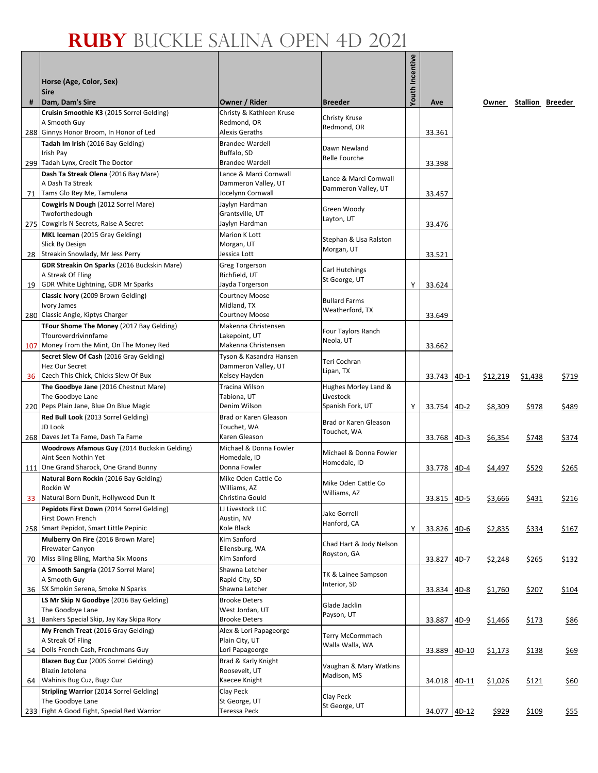|    | Horse (Age, Color, Sex)                                              |                                          |                                         | Youth Incentive |              |         |          |                        |       |
|----|----------------------------------------------------------------------|------------------------------------------|-----------------------------------------|-----------------|--------------|---------|----------|------------------------|-------|
|    | <b>Sire</b>                                                          |                                          |                                         |                 |              |         |          |                        |       |
| #  | Dam, Dam's Sire                                                      | Owner / Rider                            | <b>Breeder</b>                          |                 | Ave          |         |          | Owner Stallion Breeder |       |
|    | Cruisin Smoothie K3 (2015 Sorrel Gelding)                            | Christy & Kathleen Kruse                 | Christy Kruse                           |                 |              |         |          |                        |       |
|    | A Smooth Guy                                                         | Redmond, OR                              | Redmond, OR                             |                 |              |         |          |                        |       |
|    | 288 Ginnys Honor Broom, In Honor of Led                              | Alexis Geraths<br><b>Brandee Wardell</b> |                                         |                 | 33.361       |         |          |                        |       |
|    | Tadah Im Irish (2016 Bay Gelding)<br>Irish Pay                       | Buffalo, SD                              | Dawn Newland                            |                 |              |         |          |                        |       |
|    | 299 Tadah Lynx, Credit The Doctor                                    | <b>Brandee Wardell</b>                   | <b>Belle Fourche</b>                    |                 | 33.398       |         |          |                        |       |
|    | Dash Ta Streak Olena (2016 Bay Mare)                                 | Lance & Marci Cornwall                   | Lance & Marci Cornwall                  |                 |              |         |          |                        |       |
|    | A Dash Ta Streak                                                     | Dammeron Valley, UT                      | Dammeron Valley, UT                     |                 |              |         |          |                        |       |
| 71 | Tams Glo Rey Me, Tamulena                                            | Jocelynn Cornwall                        |                                         |                 | 33.457       |         |          |                        |       |
|    | Cowgirls N Dough (2012 Sorrel Mare)<br>Twoforthedough                | Jaylyn Hardman<br>Grantsville, UT        | Green Woody                             |                 |              |         |          |                        |       |
|    | 275 Cowgirls N Secrets, Raise A Secret                               | Jaylyn Hardman                           | Layton, UT                              |                 | 33.476       |         |          |                        |       |
|    | MKL Iceman (2015 Gray Gelding)                                       | Marion K Lott                            | Stephan & Lisa Ralston                  |                 |              |         |          |                        |       |
|    | Slick By Design                                                      | Morgan, UT                               | Morgan, UT                              |                 |              |         |          |                        |       |
| 28 | Streakin Snowlady, Mr Jess Perry                                     | Jessica Lott                             |                                         |                 | 33.521       |         |          |                        |       |
|    | GDR Streakin On Sparks (2016 Buckskin Mare)<br>A Streak Of Fling     | <b>Greg Torgerson</b><br>Richfield, UT   | Carl Hutchings                          |                 |              |         |          |                        |       |
| 19 | GDR White Lightning, GDR Mr Sparks                                   | Jayda Torgerson                          | St George, UT                           | Υ               | 33.624       |         |          |                        |       |
|    | Classic Ivory (2009 Brown Gelding)                                   | <b>Courtney Moose</b>                    |                                         |                 |              |         |          |                        |       |
|    | Ivory James                                                          | Midland, TX                              | <b>Bullard Farms</b><br>Weatherford, TX |                 |              |         |          |                        |       |
|    | 280 Classic Angle, Kiptys Charger                                    | Courtney Moose                           |                                         |                 | 33.649       |         |          |                        |       |
|    | TFour Shome The Money (2017 Bay Gelding)<br>Tfouroverdrivinnfame     | Makenna Christensen<br>Lakepoint, UT     | Four Taylors Ranch                      |                 |              |         |          |                        |       |
|    | 107 Money From the Mint, On The Money Red                            | Makenna Christensen                      | Neola, UT                               |                 | 33.662       |         |          |                        |       |
|    | Secret Slew Of Cash (2016 Gray Gelding)                              | Tyson & Kasandra Hansen                  |                                         |                 |              |         |          |                        |       |
|    | Hez Our Secret                                                       | Dammeron Valley, UT                      | Teri Cochran<br>Lipan, TX               |                 |              |         |          |                        |       |
| 36 | Czech This Chick, Chicks Slew Of Bux                                 | Kelsey Hayden                            |                                         |                 | 33.743       | $4D-1$  | \$12,219 | \$1,438                | \$719 |
|    | The Goodbye Jane (2016 Chestnut Mare)<br>The Goodbye Lane            | Tracina Wilson<br>Tabiona, UT            | Hughes Morley Land &<br>Livestock       |                 |              |         |          |                        |       |
|    | 220 Peps Plain Jane, Blue On Blue Magic                              | Denim Wilson                             | Spanish Fork, UT                        | Υ               | 33.754       | $4D-2$  | \$8,309  | \$978                  | \$489 |
|    | Red Bull Look (2013 Sorrel Gelding)                                  | Brad or Karen Gleason                    |                                         |                 |              |         |          |                        |       |
|    | JD Look                                                              | Touchet, WA                              | Brad or Karen Gleason<br>Touchet, WA    |                 |              |         |          |                        |       |
|    | 268 Daves Jet Ta Fame, Dash Ta Fame                                  | Karen Gleason                            |                                         |                 | 33.768 4D-3  |         | \$6,354  | \$748                  | \$374 |
|    | Woodrows Afamous Guy (2014 Buckskin Gelding)<br>Aint Seen Nothin Yet | Michael & Donna Fowler<br>Homedale, ID   | Michael & Donna Fowler                  |                 |              |         |          |                        |       |
|    | 111 One Grand Sharock, One Grand Bunny                               | Donna Fowler                             | Homedale, ID                            |                 | 33.778       | $4D-4$  | \$4,497  | <u>\$529</u>           | \$265 |
|    | Natural Born Rockin (2016 Bay Gelding)                               | Mike Oden Cattle Co                      |                                         |                 |              |         |          |                        |       |
|    | Rockin W                                                             | Williams, AZ                             | Mike Oden Cattle Co<br>Williams, AZ     |                 |              |         |          |                        |       |
| 33 | Natural Born Dunit, Hollywood Dun It                                 | Christina Gould                          |                                         |                 | 33.815 4D-5  |         | \$3,666  | \$431                  | \$216 |
|    | Pepidots First Down (2014 Sorrel Gelding)<br>First Down French       | LJ Livestock LLC<br>Austin, NV           | Jake Gorrell                            |                 |              |         |          |                        |       |
|    | 258 Smart Pepidot, Smart Little Pepinic                              | Kole Black                               | Hanford, CA                             | Υ               | 33.826       | 4D-6    | \$2,835  | \$334                  | \$167 |
|    | Mulberry On Fire (2016 Brown Mare)                                   | Kim Sanford                              |                                         |                 |              |         |          |                        |       |
|    | Firewater Canyon                                                     | Ellensburg, WA                           | Chad Hart & Jody Nelson<br>Royston, GA  |                 |              |         |          |                        |       |
| 70 | Miss Bling Bling, Martha Six Moons                                   | Kim Sanford                              |                                         |                 | 33.827       | $4D-7$  | \$2,248  | \$265                  | \$132 |
|    | A Smooth Sangria (2017 Sorrel Mare)<br>A Smooth Guy                  | Shawna Letcher                           | TK & Lainee Sampson                     |                 |              |         |          |                        |       |
| 36 | SX Smokin Serena, Smoke N Sparks                                     | Rapid City, SD<br>Shawna Letcher         | Interior, SD                            |                 | 33.834       | $4D-8$  | \$1,760  | \$207                  | \$104 |
|    | LS Mr Skip N Goodbye (2016 Bay Gelding)                              | <b>Brooke Deters</b>                     |                                         |                 |              |         |          |                        |       |
|    | The Goodbye Lane                                                     | West Jordan, UT                          | Glade Jacklin<br>Payson, UT             |                 |              |         |          |                        |       |
| 31 | Bankers Special Skip, Jay Kay Skipa Rory                             | <b>Brooke Deters</b>                     |                                         |                 | 33.887       | 4D-9    | \$1,466  | \$173                  | \$86  |
|    | My French Treat (2016 Gray Gelding)                                  | Alex & Lori Papageorge                   | Terry McCormmach                        |                 |              |         |          |                        |       |
| 54 | A Streak Of Fling<br>Dolls French Cash, Frenchmans Guy               | Plain City, UT<br>Lori Papageorge        | Walla Walla, WA                         |                 | 33.889       | $4D-10$ | \$1,173  | \$138                  | \$69  |
|    | Blazen Bug Cuz (2005 Sorrel Gelding)                                 | Brad & Karly Knight                      |                                         |                 |              |         |          |                        |       |
|    | Blazin Jetolena                                                      | Roosevelt, UT                            | Vaughan & Mary Watkins<br>Madison, MS   |                 |              |         |          |                        |       |
|    | 64 Wahinis Bug Cuz, Bugz Cuz                                         | Kaecee Knight                            |                                         |                 | 34.018       | 4D-11   | \$1,026  | \$121                  | \$60  |
|    | Stripling Warrior (2014 Sorrel Gelding)<br>The Goodbye Lane          | Clay Peck                                | Clay Peck                               |                 |              |         |          |                        |       |
|    | 233 Fight A Good Fight, Special Red Warrior                          | St George, UT<br>Teressa Peck            | St George, UT                           |                 | 34.077 4D-12 |         | \$929    | <u>\$109</u>           | \$55  |
|    |                                                                      |                                          |                                         |                 |              |         |          |                        |       |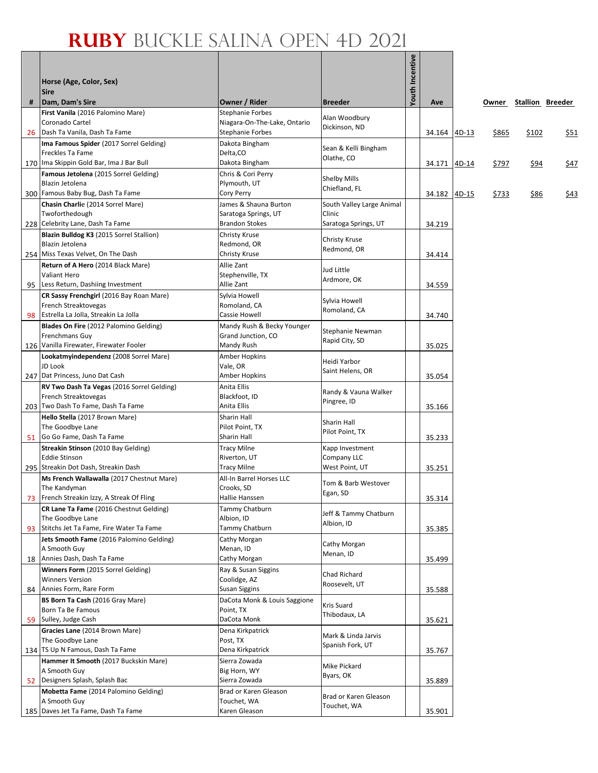|    | Horse (Age, Color, Sex)                                                      |                                                         |                               | Youth Incentive |              |              |                        |             |
|----|------------------------------------------------------------------------------|---------------------------------------------------------|-------------------------------|-----------------|--------------|--------------|------------------------|-------------|
|    | <b>Sire</b>                                                                  |                                                         |                               |                 |              |              |                        |             |
| #  | Dam, Dam's Sire                                                              | Owner / Rider                                           | <b>Breeder</b>                |                 | Ave          |              | Owner Stallion Breeder |             |
|    | First Vanila (2016 Palomino Mare)                                            | <b>Stephanie Forbes</b>                                 | Alan Woodbury                 |                 |              |              |                        |             |
|    | Coronado Cartel                                                              | Niagara-On-The-Lake, Ontario<br><b>Stephanie Forbes</b> | Dickinson, ND                 |                 |              |              |                        |             |
| 26 | Dash Ta Vanila, Dash Ta Fame<br>Ima Famous Spider (2017 Sorrel Gelding)      | Dakota Bingham                                          |                               |                 | 34.164 4D-13 | \$865        | \$102                  | <u>\$51</u> |
|    | Freckles Ta Fame                                                             | Delta, CO                                               | Sean & Kelli Bingham          |                 |              |              |                        |             |
|    | 170 Ima Skippin Gold Bar, Ima J Bar Bull                                     | Dakota Bingham                                          | Olathe, CO                    |                 | 34.171 4D-14 | \$797        | \$94                   | \$47        |
|    | Famous Jetolena (2015 Sorrel Gelding)                                        | Chris & Cori Perry                                      |                               |                 |              |              |                        |             |
|    | Blazin Jetolena                                                              | Plymouth, UT                                            | Shelby Mills<br>Chiefland, FL |                 |              |              |                        |             |
|    | 300 Famous Baby Bug, Dash Ta Fame                                            | Cory Perry                                              |                               |                 | 34.182 4D-15 | <u>\$733</u> | <u>\$86</u>            | <u>\$43</u> |
|    | Chasin Charlie (2014 Sorrel Mare)                                            | James & Shauna Burton                                   | South Valley Large Animal     |                 |              |              |                        |             |
|    | Twoforthedough                                                               | Saratoga Springs, UT                                    | Clinic                        |                 |              |              |                        |             |
|    | 228 Celebrity Lane, Dash Ta Fame<br>Blazin Bulldog K3 (2015 Sorrel Stallion) | <b>Brandon Stokes</b>                                   | Saratoga Springs, UT          |                 | 34.219       |              |                        |             |
|    | Blazin Jetolena                                                              | Christy Kruse<br>Redmond, OR                            | Christy Kruse                 |                 |              |              |                        |             |
|    | 254 Miss Texas Velvet, On The Dash                                           | Christy Kruse                                           | Redmond, OR                   |                 | 34.414       |              |                        |             |
|    | Return of A Hero (2014 Black Mare)                                           | Allie Zant                                              |                               |                 |              |              |                        |             |
|    | <b>Valiant Hero</b>                                                          | Stephenville, TX                                        | Jud Little                    |                 |              |              |                        |             |
|    | 95 Less Return, Dashiing Investment                                          | Allie Zant                                              | Ardmore, OK                   |                 | 34.559       |              |                        |             |
|    | CR Sassy Frenchgirl (2016 Bay Roan Mare)                                     | Sylvia Howell                                           | Sylvia Howell                 |                 |              |              |                        |             |
|    | French Streaktovegas                                                         | Romoland, CA                                            | Romoland, CA                  |                 |              |              |                        |             |
| 98 | Estrella La Jolla, Streakin La Jolla                                         | Cassie Howell                                           |                               |                 | 34.740       |              |                        |             |
|    | Blades On Fire (2012 Palomino Gelding)                                       | Mandy Rush & Becky Younger                              | Stephanie Newman              |                 |              |              |                        |             |
|    | Frenchmans Guy<br>126 Vanilla Firewater, Firewater Fooler                    | Grand Junction, CO<br>Mandy Rush                        | Rapid City, SD                |                 | 35.025       |              |                        |             |
|    | Lookatmyindependenz (2008 Sorrel Mare)                                       | Amber Hopkins                                           |                               |                 |              |              |                        |             |
|    | JD Look                                                                      | Vale, OR                                                | Heidi Yarbor                  |                 |              |              |                        |             |
|    | 247 Dat Princess, Juno Dat Cash                                              | Amber Hopkins                                           | Saint Helens, OR              |                 | 35.054       |              |                        |             |
|    | RV Two Dash Ta Vegas (2016 Sorrel Gelding)                                   | Anita Ellis                                             | Randy & Vauna Walker          |                 |              |              |                        |             |
|    | French Streaktovegas                                                         | Blackfoot, ID                                           | Pingree, ID                   |                 |              |              |                        |             |
|    | 203 Two Dash To Fame, Dash Ta Fame                                           | Anita Ellis                                             |                               |                 | 35.166       |              |                        |             |
|    | Hello Stella (2017 Brown Mare)                                               | Sharin Hall                                             | Sharin Hall                   |                 |              |              |                        |             |
| 51 | The Goodbye Lane<br>Go Go Fame, Dash Ta Fame                                 | Pilot Point, TX<br>Sharin Hall                          | Pilot Point, TX               |                 | 35.233       |              |                        |             |
|    | Streakin Stinson (2010 Bay Gelding)                                          | Tracy Milne                                             | Kapp Investment               |                 |              |              |                        |             |
|    | <b>Eddie Stinson</b>                                                         | Riverton, UT                                            | Company LLC                   |                 |              |              |                        |             |
|    | 295 Streakin Dot Dash, Streakin Dash                                         | <b>Tracy Milne</b>                                      | West Point, UT                |                 | 35.251       |              |                        |             |
|    | Ms French Wallawalla (2017 Chestnut Mare)                                    | All-In Barrel Horses LLC                                | Tom & Barb Westover           |                 |              |              |                        |             |
|    | The Kandyman                                                                 | Crooks, SD                                              | Egan, SD                      |                 |              |              |                        |             |
| 73 | French Streakin Izzy, A Streak Of Fling                                      | Hallie Hanssen                                          |                               |                 | 35.314       |              |                        |             |
|    | CR Lane Ta Fame (2016 Chestnut Gelding)                                      | Tammy Chatburn                                          | Jeff & Tammy Chatburn         |                 |              |              |                        |             |
| 93 | The Goodbye Lane<br>Stitchs Jet Ta Fame, Fire Water Ta Fame                  | Albion, ID<br>Tammy Chatburn                            | Albion, ID                    |                 | 35.385       |              |                        |             |
|    | Jets Smooth Fame (2016 Palomino Gelding)                                     | Cathy Morgan                                            |                               |                 |              |              |                        |             |
|    | A Smooth Guy                                                                 | Menan, ID                                               | Cathy Morgan                  |                 |              |              |                        |             |
|    | 18 Annies Dash, Dash Ta Fame                                                 | Cathy Morgan                                            | Menan, ID                     |                 | 35.499       |              |                        |             |
|    | Winners Form (2015 Sorrel Gelding)                                           | Ray & Susan Siggins                                     | Chad Richard                  |                 |              |              |                        |             |
|    | <b>Winners Version</b>                                                       | Coolidge, AZ                                            | Roosevelt, UT                 |                 |              |              |                        |             |
| 84 | Annies Form, Rare Form                                                       | Susan Siggins                                           |                               |                 | 35.588       |              |                        |             |
|    | BS Born Ta Cash (2016 Gray Mare)                                             | DaCota Monk & Louis Saggione                            | Kris Suard                    |                 |              |              |                        |             |
|    | Born Ta Be Famous<br>Sulley, Judge Cash                                      | Point, TX<br>DaCota Monk                                | Thibodaux, LA                 |                 |              |              |                        |             |
| 59 | Gracies Lane (2014 Brown Mare)                                               | Dena Kirkpatrick                                        |                               |                 | 35.621       |              |                        |             |
|    | The Goodbye Lane                                                             | Post, TX                                                | Mark & Linda Jarvis           |                 |              |              |                        |             |
|    | 134 TS Up N Famous, Dash Ta Fame                                             | Dena Kirkpatrick                                        | Spanish Fork, UT              |                 | 35.767       |              |                        |             |
|    | Hammer It Smooth (2017 Buckskin Mare)                                        | Sierra Zowada                                           | Mike Pickard                  |                 |              |              |                        |             |
|    | A Smooth Guy                                                                 | Big Horn, WY                                            | Byars, OK                     |                 |              |              |                        |             |
|    | 52 Designers Splash, Splash Bac                                              | Sierra Zowada                                           |                               |                 | 35.889       |              |                        |             |
|    | Mobetta Fame (2014 Palomino Gelding)                                         | Brad or Karen Gleason                                   | Brad or Karen Gleason         |                 |              |              |                        |             |
|    | A Smooth Guy<br>185 Daves Jet Ta Fame, Dash Ta Fame                          | Touchet, WA<br>Karen Gleason                            | Touchet, WA                   |                 | 35.901       |              |                        |             |
|    |                                                                              |                                                         |                               |                 |              |              |                        |             |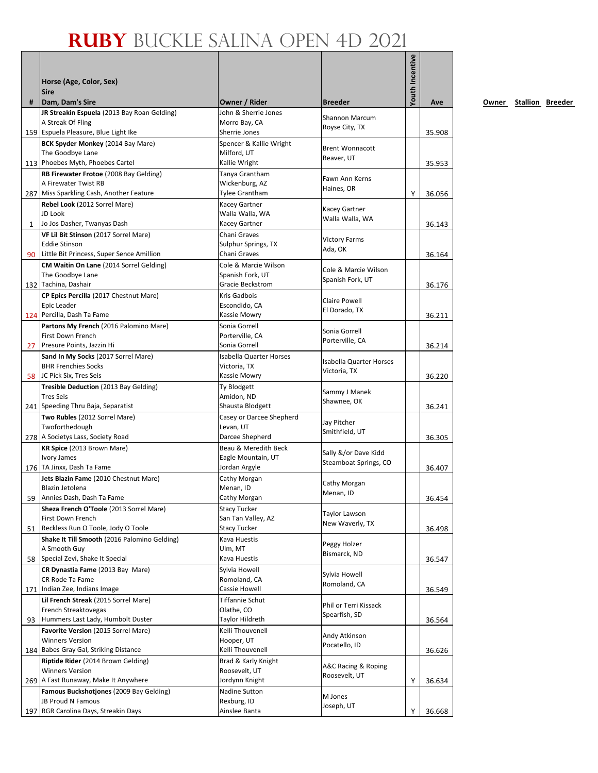|              | Horse (Age, Color, Sex)<br><b>Sire</b>                                          |                                        |                                 | <b>Youth Incentive</b> |        |
|--------------|---------------------------------------------------------------------------------|----------------------------------------|---------------------------------|------------------------|--------|
| #            | Dam, Dam's Sire                                                                 | Owner / Rider                          | <b>Breeder</b>                  |                        | Ave    |
|              | JR Streakin Espuela (2013 Bay Roan Gelding)                                     | John & Sherrie Jones                   | Shannon Marcum                  |                        |        |
|              | A Streak Of Fling                                                               | Morro Bay, CA                          | Royse City, TX                  |                        |        |
|              | 159 Espuela Pleasure, Blue Light Ike                                            | Sherrie Jones                          |                                 |                        | 35.908 |
|              | BCK Spyder Monkey (2014 Bay Mare)<br>The Goodbye Lane                           | Spencer & Kallie Wright<br>Milford, UT | <b>Brent Wonnacott</b>          |                        |        |
|              | 113 Phoebes Myth, Phoebes Cartel                                                | Kallie Wright                          | Beaver, UT                      |                        | 35.953 |
|              | RB Firewater Frotoe (2008 Bay Gelding)                                          | Tanya Grantham                         | Fawn Ann Kerns                  |                        |        |
|              | A Firewater Twist RB                                                            | Wickenburg, AZ                         | Haines, OR                      |                        |        |
|              | 287 Miss Sparkling Cash, Another Feature                                        | <b>Tylee Grantham</b>                  |                                 | Υ                      | 36.056 |
|              | Rebel Look (2012 Sorrel Mare)<br>JD Look                                        | Kacey Gartner<br>Walla Walla, WA       | Kacey Gartner                   |                        |        |
| $\mathbf{1}$ | Jo Jos Dasher, Twanyas Dash                                                     | Kacey Gartner                          | Walla Walla, WA                 |                        | 36.143 |
|              | VF Lil Bit Stinson (2017 Sorrel Mare)                                           | Chani Graves                           |                                 |                        |        |
|              | <b>Eddie Stinson</b>                                                            | Sulphur Springs, TX                    | <b>Victory Farms</b><br>Ada, OK |                        |        |
|              | 90 Little Bit Princess, Super Sence Amillion                                    | Chani Graves                           |                                 |                        | 36.164 |
|              | CM Waitin On Lane (2014 Sorrel Gelding)                                         | Cole & Marcie Wilson                   | Cole & Marcie Wilson            |                        |        |
|              | The Goodbye Lane<br>132 Tachina, Dashair                                        | Spanish Fork, UT<br>Gracie Beckstrom   | Spanish Fork, UT                |                        | 36.176 |
|              | CP Epics Percilla (2017 Chestnut Mare)                                          | Kris Gadbois                           |                                 |                        |        |
|              | Epic Leader                                                                     | Escondido, CA                          | Claire Powell                   |                        |        |
|              | 124 Percilla, Dash Ta Fame                                                      | Kassie Mowry                           | El Dorado, TX                   |                        | 36.211 |
|              | Partons My French (2016 Palomino Mare)                                          | Sonia Gorrell                          | Sonia Gorrell                   |                        |        |
|              | First Down French                                                               | Porterville, CA<br>Sonia Gorrell       | Porterville, CA                 |                        |        |
| 27           | Presure Points, Jazzin Hi<br>Sand In My Socks (2017 Sorrel Mare)                | <b>Isabella Quarter Horses</b>         |                                 |                        | 36.214 |
|              | <b>BHR Frenchies Socks</b>                                                      | Victoria, TX                           | <b>Isabella Quarter Horses</b>  |                        |        |
|              | 58 JC Pick Six, Tres Seis                                                       | Kassie Mowry                           | Victoria, TX                    |                        | 36.220 |
|              | Tresible Deduction (2013 Bay Gelding)                                           | Ty Blodgett                            | Sammy J Manek                   |                        |        |
|              | <b>Tres Seis</b>                                                                | Amidon, ND                             | Shawnee, OK                     |                        |        |
|              | 241 Speeding Thru Baja, Separatist                                              | Shausta Blodgett                       |                                 |                        | 36.241 |
|              | Two Rubles (2012 Sorrel Mare)<br>Twoforthedough                                 | Casey or Darcee Shepherd<br>Levan, UT  | Jay Pitcher                     |                        |        |
|              | 278 A Societys Lass, Society Road                                               | Darcee Shepherd                        | Smithfield, UT                  |                        | 36.305 |
|              | KR Spice (2013 Brown Mare)                                                      | Beau & Meredith Beck                   | Sally &/or Dave Kidd            |                        |        |
|              | <b>Ivory James</b>                                                              | Eagle Mountain, UT                     | Steamboat Springs, CO           |                        |        |
|              | 176 TA Jinxx, Dash Ta Fame                                                      | Jordan Argyle                          |                                 |                        | 36.407 |
|              | Jets Blazin Fame (2010 Chestnut Mare)<br>Blazin Jetolena                        | Cathy Morgan<br>Menan, ID              | Cathy Morgan                    |                        |        |
| 59           | Annies Dash, Dash Ta Fame                                                       | Cathy Morgan                           | Menan, ID                       |                        | 36.454 |
|              | Sheza French O'Toole (2013 Sorrel Mare)                                         | <b>Stacy Tucker</b>                    | <b>Taylor Lawson</b>            |                        |        |
|              | First Down French                                                               | San Tan Valley, AZ                     | New Waverly, TX                 |                        |        |
| 51           | Reckless Run O Toole, Jody O Toole                                              | <b>Stacy Tucker</b>                    |                                 |                        | 36.498 |
|              | Shake It Till Smooth (2016 Palomino Gelding)<br>A Smooth Guy                    | Kava Huestis<br>Ulm, MT                | Peggy Holzer                    |                        |        |
|              | 58 Special Zevi, Shake It Special                                               | Kava Huestis                           | Bismarck, ND                    |                        | 36.547 |
|              | CR Dynastia Fame (2013 Bay Mare)                                                | Sylvia Howell                          |                                 |                        |        |
|              | CR Rode Ta Fame                                                                 | Romoland, CA                           | Sylvia Howell<br>Romoland, CA   |                        |        |
|              | 171 Indian Zee, Indians Image                                                   | Cassie Howell                          |                                 |                        | 36.549 |
|              | Lil French Streak (2015 Sorrel Mare)<br>French Streaktovegas                    | Tiffannie Schut<br>Olathe, CO          | Phil or Terri Kissack           |                        |        |
| 93           | Hummers Last Lady, Humbolt Duster                                               | Taylor Hildreth                        | Spearfish, SD                   |                        | 36.564 |
|              | Favorite Version (2015 Sorrel Mare)                                             | Kelli Thouvenell                       |                                 |                        |        |
|              | <b>Winners Version</b>                                                          | Hooper, UT                             | Andy Atkinson                   |                        |        |
|              | 184 Babes Gray Gal, Striking Distance                                           | Kelli Thouvenell                       | Pocatello, ID                   |                        | 36.626 |
|              | Riptide Rider (2014 Brown Gelding)                                              | Brad & Karly Knight                    | A&C Racing & Roping             |                        |        |
|              | <b>Winners Version</b>                                                          | Roosevelt, UT<br>Jordynn Knight        | Roosevelt, UT                   |                        |        |
|              | 269 A Fast Runaway, Make It Anywhere<br>Famous Buckshotjones (2009 Bay Gelding) | Nadine Sutton                          |                                 | Υ                      | 36.634 |
|              | <b>JB Proud N Famous</b>                                                        | Rexburg, ID                            | M Jones                         |                        |        |
|              | 197 RGR Carolina Days, Streakin Days                                            | Ainslee Banta                          | Joseph, UT                      | Y                      | 36.668 |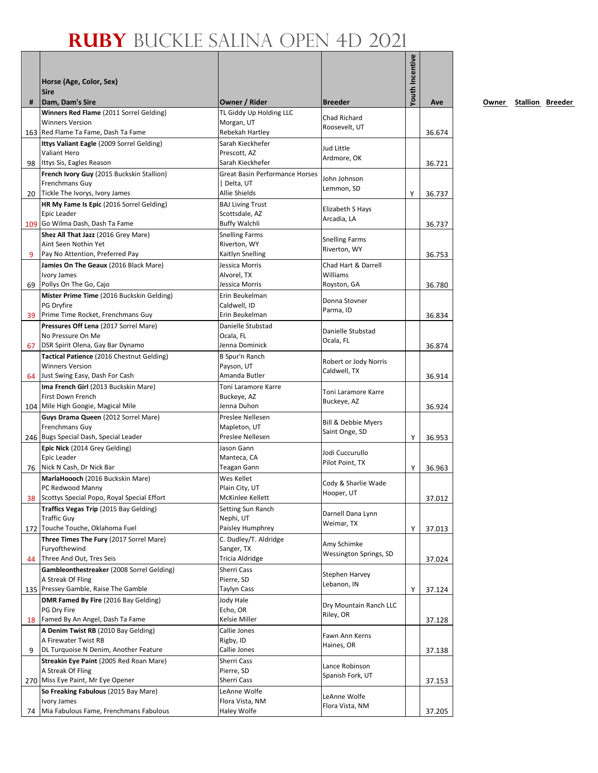|    | Horse (Age, Color, Sex)<br><b>Sire</b>                            |                                           |                                       | Youth Incentive |        |
|----|-------------------------------------------------------------------|-------------------------------------------|---------------------------------------|-----------------|--------|
| #  | Dam, Dam's Sire                                                   | Owner / Rider                             | <b>Breeder</b>                        |                 | Ave    |
|    | Winners Red Flame (2011 Sorrel Gelding)<br><b>Winners Version</b> | TL Giddy Up Holding LLC<br>Morgan, UT     | Chad Richard                          |                 |        |
|    | 163 Red Flame Ta Fame, Dash Ta Fame                               | Rebekah Hartley                           | Roosevelt, UT                         |                 | 36.674 |
|    | Ittys Valiant Eagle (2009 Sorrel Gelding)                         | Sarah Kieckhefer                          |                                       |                 |        |
|    | Valiant Hero                                                      | Prescott, AZ                              | Jud Little                            |                 |        |
|    | 98 Ittys Sis, Eagles Reason                                       | Sarah Kieckhefer                          | Ardmore, OK                           |                 | 36.721 |
|    | French Ivory Guy (2015 Buckskin Stallion)                         | <b>Great Basin Performance Horses</b>     | John Johnson                          |                 |        |
|    | Frenchmans Guy                                                    | Delta, UT                                 | Lemmon, SD                            |                 |        |
| 20 | Tickle The Ivorys, Ivory James                                    | Allie Shields                             |                                       | Υ               | 36.737 |
|    | HR My Fame Is Epic (2016 Sorrel Gelding)<br>Epic Leader           | <b>BAJ Living Trust</b><br>Scottsdale, AZ | Elizabeth S Hays                      |                 |        |
|    | 109 Go Wilma Dash, Dash Ta Fame                                   | <b>Buffy Walchli</b>                      | Arcadia, LA                           |                 | 36.737 |
|    | Shez All That Jazz (2016 Grey Mare)                               | <b>Snelling Farms</b>                     |                                       |                 |        |
|    | Aint Seen Nothin Yet                                              | Riverton, WY                              | <b>Snelling Farms</b><br>Riverton, WY |                 |        |
| 9  | Pay No Attention, Preferred Pay                                   | Kaitlyn Snelling                          |                                       |                 | 36.753 |
|    | Jamies On The Geaux (2016 Black Mare)                             | Jessica Morris                            | Chad Hart & Darrell                   |                 |        |
|    | Ivory James                                                       | Alvorel, TX                               | Williams                              |                 |        |
| 69 | Pollys On The Go, Cajo                                            | Jessica Morris                            | Royston, GA                           |                 | 36.780 |
|    | Mister Prime Time (2016 Buckskin Gelding)<br>PG Dryfire           | Erin Beukelman<br>Caldwell, ID            | Donna Stovner                         |                 |        |
|    | 39 Prime Time Rocket, Frenchmans Guy                              | Erin Beukelman                            | Parma, ID                             |                 | 36.834 |
|    | Pressures Off Lena (2017 Sorrel Mare)                             | Danielle Stubstad                         |                                       |                 |        |
|    | No Pressure On Me                                                 | Ocala, FL                                 | Danielle Stubstad<br>Ocala, FL        |                 |        |
| 67 | DSR Spirit Olena, Gay Bar Dynamo                                  | Jenna Dominick                            |                                       |                 | 36.874 |
|    | Tactical Patience (2016 Chestnut Gelding)                         | B Spur'n Ranch                            | Robert or Jody Norris                 |                 |        |
|    | <b>Winners Version</b>                                            | Payson, UT                                | Caldwell, TX                          |                 |        |
|    | 64 Just Swing Easy, Dash For Cash                                 | Amanda Butler                             |                                       |                 | 36.914 |
|    | Ima French Girl (2013 Buckskin Mare)<br>First Down French         | Toni Laramore Karre<br>Buckeye, AZ        | Toni Laramore Karre                   |                 |        |
|    | 104 Mile High Googie, Magical Mile                                | Jenna Duhon                               | Buckeye, AZ                           |                 | 36.924 |
|    | Guys Drama Queen (2012 Sorrel Mare)                               | Preslee Nellesen                          |                                       |                 |        |
|    | Frenchmans Guy                                                    | Mapleton, UT                              | Bill & Debbie Myers<br>Saint Onge, SD |                 |        |
|    | 246 Bugs Special Dash, Special Leader                             | Preslee Nellesen                          |                                       | Υ               | 36.953 |
|    | Epic Nick (2014 Grey Gelding)                                     | Jason Gann                                | Jodi Cuccurullo                       |                 |        |
|    | Epic Leader<br>76 Nick N Cash, Dr Nick Bar                        | Manteca, CA<br>Teagan Gann                | Pilot Point, TX                       | Y               | 36.963 |
|    | MarlaHoooch (2016 Buckskin Mare)                                  | Wes Kellet                                |                                       |                 |        |
|    | PC Redwood Manny                                                  | Plain City, UT                            | Cody & Sharlie Wade                   |                 |        |
| 38 | Scottys Special Popo, Royal Special Effort                        | McKinlee Kellett                          | Hooper, UT                            |                 | 37.012 |
|    | Traffics Vegas Trip (2015 Bay Gelding)                            | Setting Sun Ranch                         | Darnell Dana Lynn                     |                 |        |
|    | <b>Traffic Guy</b>                                                | Nephi, UT                                 | Weimar, TX                            |                 |        |
|    | 172 Touche Touche, Oklahoma Fuel                                  | Paisley Humphrey                          |                                       | Υ               | 37.013 |
|    | Three Times The Fury (2017 Sorrel Mare)<br>Furyofthewind          | C. Dudley/T. Aldridge<br>Sanger, TX       | Amy Schimke                           |                 |        |
| 44 | Three And Out, Tres Seis                                          | Tricia Aldridge                           | Wessington Springs, SD                |                 | 37.024 |
|    | Gambleonthestreaker (2008 Sorrel Gelding)                         | Sherri Cass                               |                                       |                 |        |
|    | A Streak Of Fling                                                 | Pierre, SD                                | Stephen Harvey<br>Lebanon, IN         |                 |        |
|    | 135 Pressey Gamble, Raise The Gamble                              | Taylyn Cass                               |                                       | Υ               | 37.124 |
|    | DMR Famed By Fire (2016 Bay Gelding)                              | Jody Hale                                 | Dry Mountain Ranch LLC                |                 |        |
|    | PG Dry Fire<br>Famed By An Angel, Dash Ta Fame                    | Echo, OR<br>Kelsie Miller                 | Riley, OR                             |                 |        |
| 18 | A Denim Twist RB (2010 Bay Gelding)                               | Callie Jones                              |                                       |                 | 37.128 |
|    | A Firewater Twist RB                                              | Rigby, ID                                 | Fawn Ann Kerns                        |                 |        |
| 9  | DL Turquoise N Denim, Another Feature                             | Callie Jones                              | Haines, OR                            |                 | 37.138 |
|    | Streakin Eye Paint (2005 Red Roan Mare)                           | Sherri Cass                               |                                       |                 |        |
|    | A Streak Of Fling                                                 | Pierre, SD                                | Lance Robinson<br>Spanish Fork, UT    |                 |        |
|    | 270 Miss Eye Paint, Mr Eye Opener                                 | Sherri Cass                               |                                       |                 | 37.153 |
|    | So Freaking Fabulous (2015 Bay Mare)                              | LeAnne Wolfe                              | LeAnne Wolfe                          |                 |        |
| 74 | Ivory James<br>Mia Fabulous Fame, Frenchmans Fabulous             | Flora Vista, NM<br>Haley Wolfe            | Flora Vista, NM                       |                 | 37.205 |
|    |                                                                   |                                           |                                       |                 |        |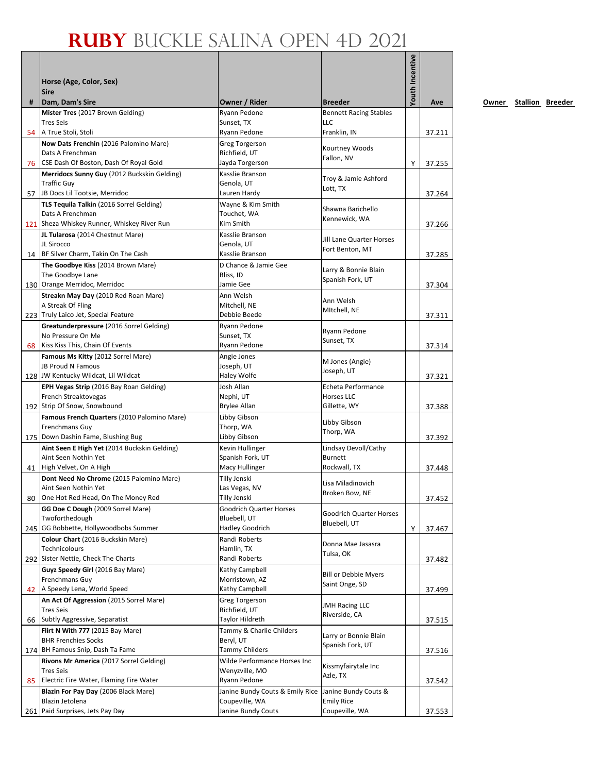|    | Horse (Age, Color, Sex)<br><b>Sire</b>                                    |                                                |                                | <b>Youth Incentive</b> |        |
|----|---------------------------------------------------------------------------|------------------------------------------------|--------------------------------|------------------------|--------|
| #  | Dam, Dam's Sire                                                           | Owner / Rider                                  | <b>Breeder</b>                 |                        | Ave    |
|    | Mister Tres (2017 Brown Gelding)                                          | Ryann Pedone                                   | <b>Bennett Racing Stables</b>  |                        |        |
|    | <b>Tres Seis</b><br>A True Stoli, Stoli                                   | Sunset, TX<br>Ryann Pedone                     | <b>LLC</b><br>Franklin, IN     |                        |        |
| 54 | Now Dats Frenchin (2016 Palomino Mare)                                    | <b>Greg Torgerson</b>                          |                                |                        | 37.211 |
|    | Dats A Frenchman                                                          | Richfield, UT                                  | Kourtney Woods                 |                        |        |
|    | 76 CSE Dash Of Boston, Dash Of Royal Gold                                 | Jayda Torgerson                                | Fallon, NV                     | Υ                      | 37.255 |
|    | Merridocs Sunny Guy (2012 Buckskin Gelding)                               | Kasslie Branson                                | Troy & Jamie Ashford           |                        |        |
|    | <b>Traffic Guy</b>                                                        | Genola, UT<br>Lauren Hardy                     | Lott, TX                       |                        |        |
| 57 | JB Docs Lil Tootsie, Merridoc<br>TLS Tequila Talkin (2016 Sorrel Gelding) | Wayne & Kim Smith                              |                                |                        | 37.264 |
|    | Dats A Frenchman                                                          | Touchet, WA                                    | Shawna Barichello              |                        |        |
|    | 121 Sheza Whiskey Runner, Whiskey River Run                               | Kim Smith                                      | Kennewick, WA                  |                        | 37.266 |
|    | JL Tularosa (2014 Chestnut Mare)                                          | Kasslie Branson                                | Jill Lane Quarter Horses       |                        |        |
|    | JL Sirocco                                                                | Genola, UT                                     | Fort Benton, MT                |                        |        |
|    | 14 BF Silver Charm, Takin On The Cash                                     | Kasslie Branson                                |                                |                        | 37.285 |
|    | The Goodbye Kiss (2014 Brown Mare)<br>The Goodbye Lane                    | D Chance & Jamie Gee<br>Bliss, ID              | Larry & Bonnie Blain           |                        |        |
|    | 130 Orange Merridoc, Merridoc                                             | Jamie Gee                                      | Spanish Fork, UT               |                        | 37.304 |
|    | Streakn May Day (2010 Red Roan Mare)                                      | Ann Welsh                                      |                                |                        |        |
|    | A Streak Of Fling                                                         | Mitchell, NE                                   | Ann Welsh<br>MItchell, NE      |                        |        |
|    | 223 Truly Laico Jet, Special Feature                                      | Debbie Beede                                   |                                |                        | 37.311 |
|    | Greatunderpressure (2016 Sorrel Gelding)<br>No Pressure On Me             | Ryann Pedone<br>Sunset, TX                     | Ryann Pedone                   |                        |        |
|    | 68 Kiss Kiss This, Chain Of Events                                        | Ryann Pedone                                   | Sunset, TX                     |                        | 37.314 |
|    | Famous Ms Kitty (2012 Sorrel Mare)                                        | Angie Jones                                    |                                |                        |        |
|    | JB Proud N Famous                                                         | Joseph, UT                                     | M Jones (Angie)<br>Joseph, UT  |                        |        |
|    | 128 JW Kentucky Wildcat, Lil Wildcat                                      | Haley Wolfe                                    |                                |                        | 37.321 |
|    | <b>EPH Vegas Strip</b> (2016 Bay Roan Gelding)                            | Josh Allan                                     | Echeta Performance             |                        |        |
|    | French Streaktovegas<br>192 Strip Of Snow, Snowbound                      | Nephi, UT<br>Brylee Allan                      | Horses LLC<br>Gillette, WY     |                        | 37.388 |
|    | Famous French Quarters (2010 Palomino Mare)                               | Libby Gibson                                   |                                |                        |        |
|    | Frenchmans Guy                                                            | Thorp, WA                                      | Libby Gibson                   |                        |        |
|    | 175 Down Dashin Fame, Blushing Bug                                        | Libby Gibson                                   | Thorp, WA                      |                        | 37.392 |
|    | Aint Seen E High Yet (2014 Buckskin Gelding)                              | Kevin Hullinger                                | Lindsay Devoll/Cathy           |                        |        |
|    | Aint Seen Nothin Yet<br>41 High Velvet, On A High                         | Spanish Fork, UT<br>Macy Hullinger             | <b>Burnett</b><br>Rockwall, TX |                        | 37.448 |
|    | Dont Need No Chrome (2015 Palomino Mare)                                  | Tilly Jenski                                   |                                |                        |        |
|    | Aint Seen Nothin Yet                                                      | Las Vegas, NV                                  | Lisa Miladinovich              |                        |        |
| 80 | One Hot Red Head, On The Money Red                                        | Tilly Jenski                                   | Broken Bow, NE                 |                        | 37.452 |
|    | GG Doe C Dough (2009 Sorrel Mare)                                         | Goodrich Quarter Horses                        | Goodrich Quarter Horses        |                        |        |
|    | Twoforthedough<br>245 GG Bobbette, Hollywoodbobs Summer                   | Bluebell, UT<br><b>Hadley Goodrich</b>         | Bluebell, UT                   |                        |        |
|    | Colour Chart (2016 Buckskin Mare)                                         | Randi Roberts                                  |                                | Υ                      | 37.467 |
|    | Technicolours                                                             | Hamlin, TX                                     | Donna Mae Jasasra              |                        |        |
|    | 292 Sister Nettie, Check The Charts                                       | Randi Roberts                                  | Tulsa, OK                      |                        | 37.482 |
|    | Guyz Speedy Girl (2016 Bay Mare)                                          | Kathy Campbell                                 | <b>Bill or Debbie Myers</b>    |                        |        |
|    | Frenchmans Guy                                                            | Morristown, AZ                                 | Saint Onge, SD                 |                        |        |
|    | 42 A Speedy Lena, World Speed                                             | Kathy Campbell                                 |                                |                        | 37.499 |
|    | An Act Of Aggression (2015 Sorrel Mare)<br><b>Tres Seis</b>               | <b>Greg Torgerson</b><br>Richfield, UT         | <b>JMH Racing LLC</b>          |                        |        |
| 66 | Subtly Aggressive, Separatist                                             | Taylor Hildreth                                | Riverside, CA                  |                        | 37.515 |
|    | Flirt N With 777 (2015 Bay Mare)                                          | Tammy & Charlie Childers                       | Larry or Bonnie Blain          |                        |        |
|    | <b>BHR Frenchies Socks</b>                                                | Beryl, UT                                      | Spanish Fork, UT               |                        |        |
|    | 174 BH Famous Snip, Dash Ta Fame                                          | Tammy Childers                                 |                                |                        | 37.516 |
|    | Rivons Mr America (2017 Sorrel Gelding)<br><b>Tres Seis</b>               | Wilde Performance Horses Inc<br>Wenyzville, MO | Kissmyfairytale Inc            |                        |        |
| 85 | Electric Fire Water, Flaming Fire Water                                   | Ryann Pedone                                   | Azle, TX                       |                        | 37.542 |
|    | Blazin For Pay Day (2006 Black Mare)                                      | Janine Bundy Couts & Emily Rice                | Janine Bundy Couts &           |                        |        |
|    | Blazin Jetolena                                                           | Coupeville, WA                                 | <b>Emily Rice</b>              |                        |        |
|    | 261 Paid Surprises, Jets Pay Day                                          | Janine Bundy Couts                             | Coupeville, WA                 |                        | 37.553 |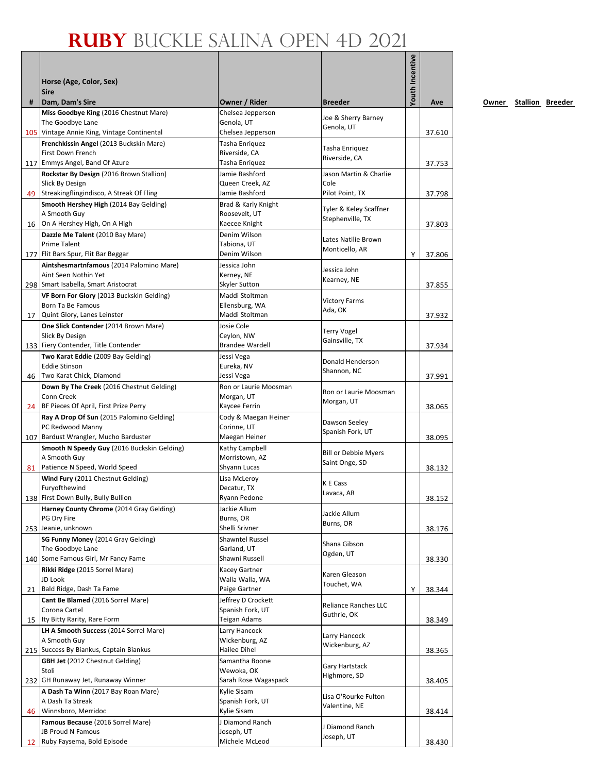|    | Horse (Age, Color, Sex)<br><b>Sire</b>                       |                                      |                                     | Youth Incentive |        |
|----|--------------------------------------------------------------|--------------------------------------|-------------------------------------|-----------------|--------|
| #  | Dam, Dam's Sire                                              | Owner / Rider                        | <b>Breeder</b>                      |                 | Ave    |
|    | Miss Goodbye King (2016 Chestnut Mare)                       | Chelsea Jepperson                    | Joe & Sherry Barney                 |                 |        |
|    | The Goodbye Lane                                             | Genola, UT                           | Genola, UT                          |                 |        |
|    | 105 Vintage Annie King, Vintage Continental                  | Chelsea Jepperson                    |                                     |                 | 37.610 |
|    | Frenchkissin Angel (2013 Buckskin Mare)<br>First Down French | Tasha Enriquez<br>Riverside, CA      | Tasha Enriquez                      |                 |        |
|    | 117 Emmys Angel, Band Of Azure                               | Tasha Enriquez                       | Riverside, CA                       |                 | 37.753 |
|    | Rockstar By Design (2016 Brown Stallion)<br>Slick By Design  | Jamie Bashford<br>Queen Creek, AZ    | Jason Martin & Charlie<br>Cole      |                 |        |
|    | 49 Streakingflingindisco, A Streak Of Fling                  | Jamie Bashford                       | Pilot Point, TX                     |                 | 37.798 |
|    | Smooth Hershey High (2014 Bay Gelding)                       | Brad & Karly Knight                  | Tyler & Keley Scaffner              |                 |        |
|    | A Smooth Guy<br>16 On A Hershey High, On A High              | Roosevelt, UT<br>Kaecee Knight       | Stephenville, TX                    |                 |        |
|    | Dazzle Me Talent (2010 Bay Mare)                             | Denim Wilson                         |                                     |                 | 37.803 |
|    | <b>Prime Talent</b>                                          | Tabiona, UT                          | Lates Natilie Brown                 |                 |        |
|    | 177   Flit Bars Spur, Flit Bar Beggar                        | Denim Wilson                         | Monticello, AR                      | Y               | 37.806 |
|    | Aintshesmartnfamous (2014 Palomino Mare)                     | Jessica John                         | Jessica John                        |                 |        |
|    | Aint Seen Nothin Yet<br>298 Smart Isabella, Smart Aristocrat | Kerney, NE<br>Skyler Sutton          | Kearney, NE                         |                 | 37.855 |
|    | VF Born For Glory (2013 Buckskin Gelding)                    | Maddi Stoltman                       |                                     |                 |        |
|    | Born Ta Be Famous                                            | Ellensburg, WA                       | <b>Victory Farms</b>                |                 |        |
| 17 | Quint Glory, Lanes Leinster                                  | Maddi Stoltman                       | Ada, OK                             |                 | 37.932 |
|    | One Slick Contender (2014 Brown Mare)                        | Josie Cole                           | <b>Terry Vogel</b>                  |                 |        |
|    | Slick By Design<br>133 Fiery Contender, Title Contender      | Ceylon, NW<br><b>Brandee Wardell</b> | Gainsville, TX                      |                 |        |
|    | Two Karat Eddie (2009 Bay Gelding)                           | Jessi Vega                           |                                     |                 | 37.934 |
|    | <b>Eddie Stinson</b>                                         | Eureka, NV                           | Donald Henderson                    |                 |        |
|    | 46 Two Karat Chick, Diamond                                  | Jessi Vega                           | Shannon, NC                         |                 | 37.991 |
|    | Down By The Creek (2016 Chestnut Gelding)                    | Ron or Laurie Moosman                | Ron or Laurie Moosman               |                 |        |
|    | Conn Creek<br>24 BF Pieces Of April, First Prize Perry       | Morgan, UT<br>Kaycee Ferrin          | Morgan, UT                          |                 | 38.065 |
|    | Ray A Drop Of Sun (2015 Palomino Gelding)                    | Cody & Maegan Heiner                 |                                     |                 |        |
|    | PC Redwood Manny                                             | Corinne, UT                          | Dawson Seeley                       |                 |        |
|    | 107 Bardust Wrangler, Mucho Barduster                        | Maegan Heiner                        | Spanish Fork, UT                    |                 | 38.095 |
|    | Smooth N Speedy Guy (2016 Buckskin Gelding)                  | Kathy Campbell                       | <b>Bill or Debbie Myers</b>         |                 |        |
| 81 | A Smooth Guy<br>Patience N Speed, World Speed                | Morristown, AZ<br>Shyann Lucas       | Saint Onge, SD                      |                 | 38.132 |
|    | Wind Fury (2011 Chestnut Gelding)                            | Lisa McLeroy                         |                                     |                 |        |
|    | Furyofthewind                                                | Decatur, TX                          | K E Cass<br>Lavaca, AR              |                 |        |
|    | 138 First Down Bully, Bully Bullion                          | Ryann Pedone                         |                                     |                 | 38.152 |
|    | Harney County Chrome (2014 Gray Gelding)                     | Jackie Allum                         | Jackie Allum                        |                 |        |
|    | PG Dry Fire<br>253 Jeanie, unknown                           | Burns, OR<br>Shelli Srivner          | Burns, OR                           |                 | 38.176 |
|    | SG Funny Money (2014 Gray Gelding)                           | Shawntel Russel                      |                                     |                 |        |
|    | The Goodbye Lane                                             | Garland, UT                          | Shana Gibson                        |                 |        |
|    | 140 Some Famous Girl, Mr Fancy Fame                          | Shawni Russell                       | Ogden, UT                           |                 | 38.330 |
|    | Rikki Ridge (2015 Sorrel Mare)                               | Kacey Gartner                        | Karen Gleason                       |                 |        |
| 21 | JD Look<br>Bald Ridge, Dash Ta Fame                          | Walla Walla, WA<br>Paige Gartner     | Touchet, WA                         | Υ               | 38.344 |
|    | Cant Be Blamed (2016 Sorrel Mare)                            | Jeffrey D Crockett                   |                                     |                 |        |
|    | Corona Cartel                                                | Spanish Fork, UT                     | Reliance Ranches LLC<br>Guthrie, OK |                 |        |
| 15 | Ity Bitty Rarity, Rare Form                                  | Teigan Adams                         |                                     |                 | 38.349 |
|    | LH A Smooth Success (2014 Sorrel Mare)                       | Larry Hancock                        | Larry Hancock                       |                 |        |
|    | A Smooth Guy<br>215 Success By Biankus, Captain Biankus      | Wickenburg, AZ<br>Hailee Dihel       | Wickenburg, AZ                      |                 | 38.365 |
|    | <b>GBH Jet</b> (2012 Chestnut Gelding)                       | Samantha Boone                       |                                     |                 |        |
|    | Stoli                                                        | Wewoka, OK                           | Gary Hartstack                      |                 |        |
|    | 232 GH Runaway Jet, Runaway Winner                           | Sarah Rose Wagaspack                 | Highmore, SD                        |                 | 38.405 |
|    | A Dash Ta Winn (2017 Bay Roan Mare)                          | Kylie Sisam                          | Lisa O'Rourke Fulton                |                 |        |
| 46 | A Dash Ta Streak<br>Winnsboro, Merridoc                      | Spanish Fork, UT<br>Kylie Sisam      | Valentine, NE                       |                 |        |
|    | Famous Because (2016 Sorrel Mare)                            | J Diamond Ranch                      |                                     |                 | 38.414 |
|    | JB Proud N Famous                                            | Joseph, UT                           | J Diamond Ranch                     |                 |        |
| 12 | Ruby Faysema, Bold Episode                                   | Michele McLeod                       | Joseph, UT                          |                 | 38.430 |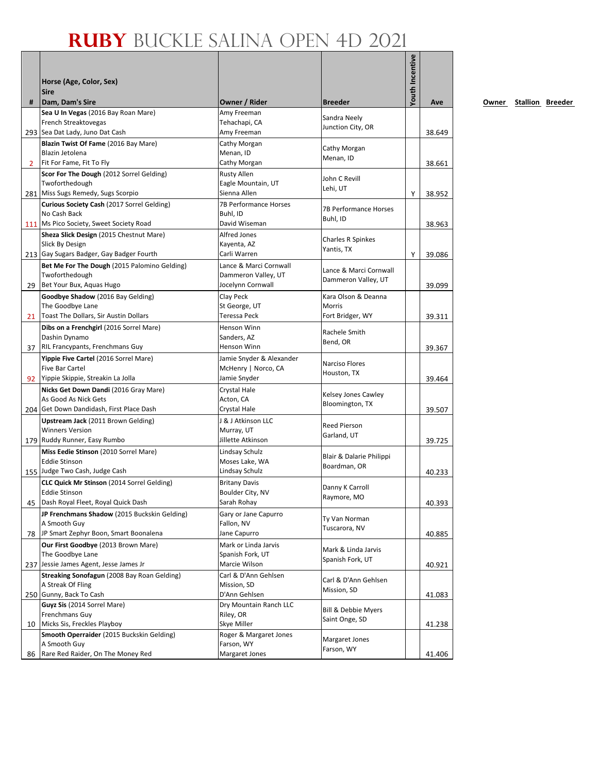| #            | Horse (Age, Color, Sex)<br><b>Sire</b><br>Dam, Dam's Sire        | Owner / Rider                         | <b>Breeder</b>                 | Youth Incentive | Ave    |
|--------------|------------------------------------------------------------------|---------------------------------------|--------------------------------|-----------------|--------|
|              | Sea U In Vegas (2016 Bay Roan Mare)                              | Amy Freeman                           |                                |                 |        |
|              | French Streaktovegas                                             | Tehachapi, CA                         | Sandra Neely                   |                 |        |
|              | 293 Sea Dat Lady, Juno Dat Cash                                  | Amy Freeman                           | Junction City, OR              |                 | 38.649 |
|              | Blazin Twist Of Fame (2016 Bay Mare)                             | Cathy Morgan                          | Cathy Morgan                   |                 |        |
|              | Blazin Jetolena                                                  | Menan, ID                             | Menan, ID                      |                 |        |
| $\mathbf{2}$ | Fit For Fame, Fit To Fly                                         | Cathy Morgan                          |                                |                 | 38.661 |
|              | Scor For The Dough (2012 Sorrel Gelding)                         | Rusty Allen                           | John C Revill                  |                 |        |
|              | Twoforthedough                                                   | Eagle Mountain, UT                    | Lehi, UT                       |                 |        |
|              | 281 Miss Sugs Remedy, Sugs Scorpio                               | Sienna Allen                          |                                | Υ               | 38.952 |
|              | Curious Society Cash (2017 Sorrel Gelding)<br>No Cash Back       | 7B Performance Horses<br>Buhl, ID     | <b>7B Performance Horses</b>   |                 |        |
|              | 111 Ms Pico Society, Sweet Society Road                          | David Wiseman                         | Buhl, ID                       |                 | 38.963 |
|              | Sheza Slick Design (2015 Chestnut Mare)                          | <b>Alfred Jones</b>                   |                                |                 |        |
|              | Slick By Design                                                  | Kayenta, AZ                           | Charles R Spinkes              |                 |        |
|              | 213 Gay Sugars Badger, Gay Badger Fourth                         | Carli Warren                          | Yantis, TX                     | Y               | 39.086 |
|              | Bet Me For The Dough (2015 Palomino Gelding)                     | Lance & Marci Cornwall                |                                |                 |        |
|              | Twoforthedough                                                   | Dammeron Valley, UT                   | Lance & Marci Cornwall         |                 |        |
| 29           | Bet Your Bux, Aquas Hugo                                         | Jocelynn Cornwall                     | Dammeron Valley, UT            |                 | 39.099 |
|              | Goodbye Shadow (2016 Bay Gelding)                                | Clay Peck                             | Kara Olson & Deanna            |                 |        |
|              | The Goodbye Lane                                                 | St George, UT                         | <b>Morris</b>                  |                 |        |
| 21           | Toast The Dollars, Sir Austin Dollars                            | Teressa Peck                          | Fort Bridger, WY               |                 | 39.311 |
|              | Dibs on a Frenchgirl (2016 Sorrel Mare)                          | Henson Winn                           | Rachele Smith                  |                 |        |
|              | Dashin Dynamo                                                    | Sanders, AZ                           | Bend, OR                       |                 |        |
| 37           | RIL Francypants, Frenchmans Guy                                  | Henson Winn                           |                                |                 | 39.367 |
|              | Yippie Five Cartel (2016 Sorrel Mare)                            | Jamie Snyder & Alexander              | Narciso Flores                 |                 |        |
|              | Five Bar Cartel                                                  | McHenry   Norco, CA                   | Houston, TX                    |                 |        |
|              | 92 Yippie Skippie, Streakin La Jolla                             | Jamie Snyder                          |                                |                 | 39.464 |
|              | Nicks Get Down Dandi (2016 Gray Mare)<br>As Good As Nick Gets    | Crystal Hale                          | Kelsey Jones Cawley            |                 |        |
|              | 204 Get Down Dandidash, First Place Dash                         | Acton, CA<br>Crystal Hale             | Bloomington, TX                |                 | 39.507 |
|              | Upstream Jack (2011 Brown Gelding)                               | J & J Atkinson LLC                    |                                |                 |        |
|              | <b>Winners Version</b>                                           | Murray, UT                            | <b>Reed Pierson</b>            |                 |        |
|              | 179 Ruddy Runner, Easy Rumbo                                     | Jillette Atkinson                     | Garland, UT                    |                 | 39.725 |
|              | Miss Eedie Stinson (2010 Sorrel Mare)                            | Lindsay Schulz                        |                                |                 |        |
|              | <b>Eddie Stinson</b>                                             | Moses Lake, WA                        | Blair & Dalarie Philippi       |                 |        |
|              | 155 Judge Two Cash, Judge Cash                                   | Lindsay Schulz                        | Boardman, OR                   |                 | 40.233 |
|              | CLC Quick Mr Stinson (2014 Sorrel Gelding)                       | <b>Britany Davis</b>                  |                                |                 |        |
|              | Eddie Stinson                                                    | Boulder City, NV                      | Danny K Carroll<br>Raymore, MO |                 |        |
| 45           | Dash Royal Fleet, Royal Quick Dash                               | Sarah Rohay                           |                                |                 | 40.393 |
|              | JP Frenchmans Shadow (2015 Buckskin Gelding)                     | Gary or Jane Capurro                  | Ty Van Norman                  |                 |        |
|              | A Smooth Guy                                                     | Fallon, NV                            | Tuscarora, NV                  |                 |        |
| 78           | JP Smart Zephyr Boon, Smart Boonalena                            | Jane Capurro                          |                                |                 | 40.885 |
|              | Our First Goodbye (2013 Brown Mare)                              | Mark or Linda Jarvis                  | Mark & Linda Jarvis            |                 |        |
|              | The Goodbye Lane                                                 | Spanish Fork, UT                      | Spanish Fork, UT               |                 |        |
|              | 237 Jessie James Agent, Jesse James Jr                           | Marcie Wilson<br>Carl & D'Ann Gehlsen |                                |                 | 40.921 |
|              | Streaking Sonofagun (2008 Bay Roan Gelding)<br>A Streak Of Fling | Mission, SD                           | Carl & D'Ann Gehlsen           |                 |        |
|              | 250 Gunny, Back To Cash                                          | D'Ann Gehlsen                         | Mission, SD                    |                 | 41.083 |
|              | Guyz Sis (2014 Sorrel Mare)                                      | Dry Mountain Ranch LLC                |                                |                 |        |
|              | Frenchmans Guy                                                   | Riley, OR                             | Bill & Debbie Myers            |                 |        |
| 10           | Micks Sis, Freckles Playboy                                      | Skye Miller                           | Saint Onge, SD                 |                 | 41.238 |
|              | Smooth Operraider (2015 Buckskin Gelding)                        | Roger & Margaret Jones                | Margaret Jones                 |                 |        |
|              | A Smooth Guy                                                     | Farson, WY                            | Farson, WY                     |                 |        |
| 86           | Rare Red Raider, On The Money Red                                | Margaret Jones                        |                                |                 | 41.406 |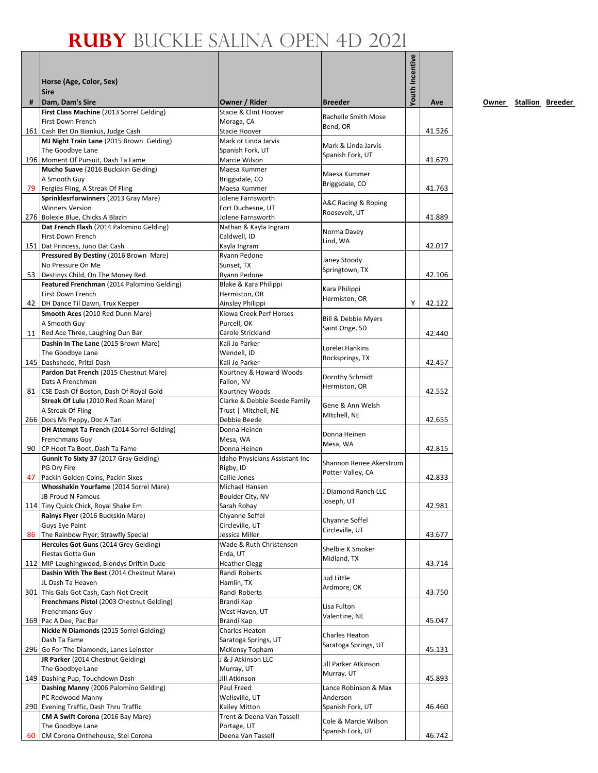|    | Horse (Age, Color, Sex)<br><b>Sire</b>                                          |                                                      |                                              | Youth Incentive |        |
|----|---------------------------------------------------------------------------------|------------------------------------------------------|----------------------------------------------|-----------------|--------|
| #  | Dam, Dam's Sire                                                                 | Owner / Rider                                        | <b>Breeder</b>                               |                 | Ave    |
|    | First Class Machine (2013 Sorrel Gelding)<br>First Down French                  | Stacie & Clint Hoover<br>Moraga, CA                  | Rachelle Smith Mose                          |                 |        |
|    | 161 Cash Bet On Biankus, Judge Cash                                             | Stacie Hoover                                        | Bend, OR                                     |                 | 41.526 |
|    | MJ Night Train Lane (2015 Brown Gelding)                                        | Mark or Linda Jarvis                                 | Mark & Linda Jarvis                          |                 |        |
|    | The Goodbye Lane<br>196 Moment Of Pursuit, Dash Ta Fame                         | Spanish Fork, UT<br>Marcie Wilson                    | Spanish Fork, UT                             |                 | 41.679 |
|    | Mucho Suave (2016 Buckskin Gelding)                                             | Maesa Kummer                                         |                                              |                 |        |
|    | A Smooth Guy                                                                    | Briggsdale, CO                                       | Maesa Kummer<br>Briggsdale, CO               |                 |        |
|    | 79 Fergies Fling, A Streak Of Fling                                             | Maesa Kummer                                         |                                              |                 | 41.763 |
|    | Sprinklesrforwinners (2013 Gray Mare)<br><b>Winners Version</b>                 | Jolene Farnsworth<br>Fort Duchesne, UT               | A&C Racing & Roping                          |                 |        |
|    | 276 Bolexie Blue, Chicks A Blazin                                               | Jolene Farnsworth                                    | Roosevelt, UT                                |                 | 41.889 |
|    | Dat French Flash (2014 Palomino Gelding)                                        | Nathan & Kayla Ingram                                | Norma Davey                                  |                 |        |
|    | First Down French                                                               | Caldwell, ID                                         | Lind, WA                                     |                 |        |
|    | 151 Dat Princess, Juno Dat Cash<br>Pressured By Destiny (2016 Brown Mare)       | Kayla Ingram<br>Ryann Pedone                         |                                              |                 | 42.017 |
|    | No Pressure On Me                                                               | Sunset, TX                                           | Janey Stoody                                 |                 |        |
|    | 53 Destinys Child, On The Money Red                                             | Ryann Pedone                                         | Springtown, TX                               |                 | 42.106 |
|    | Featured Frenchman (2014 Palomino Gelding)                                      | Blake & Kara Philippi                                | Kara Philippi                                |                 |        |
|    | First Down French<br>42 DH Dance Til Dawn, Trux Keeper                          | Hermiston, OR<br>Ainsley Philippi                    | Hermiston, OR                                | Y               | 42.122 |
|    | Smooth Aces (2010 Red Dunn Mare)                                                | Kiowa Creek Perf Horses                              |                                              |                 |        |
|    | A Smooth Guy                                                                    | Purcell, OK                                          | <b>Bill &amp; Debbie Myers</b>               |                 |        |
|    | 11 Red Ace Three, Laughing Dun Bar                                              | Carole Strickland                                    | Saint Onge, SD                               |                 | 42.440 |
|    | Dashin In The Lane (2015 Brown Mare)                                            | Kali Jo Parker                                       | Lorelei Hankins                              |                 |        |
|    | The Goodbye Lane<br>145 Dashshedo, Pritzi Dash                                  | Wendell, ID<br>Kali Jo Parker                        | Rocksprings, TX                              |                 | 42.457 |
|    | Pardon Dat French (2015 Chestnut Mare)                                          | Kourtney & Howard Woods                              |                                              |                 |        |
|    | Dats A Frenchman                                                                | Fallon, NV                                           | Dorothy Schmidt<br>Hermiston, OR             |                 |        |
|    | 81 CSE Dash Of Boston, Dash Of Royal Gold                                       | Kourtney Woods                                       |                                              |                 | 42.552 |
|    | Streak Of Lulu (2010 Red Roan Mare)<br>A Streak Of Fling                        | Clarke & Debbie Beede Family<br>Trust   Mitchell, NE | Gene & Ann Welsh                             |                 |        |
|    | 266 Docs Ms Peppy, Doc A Tari                                                   | Debbie Beede                                         | MItchell, NE                                 |                 | 42.655 |
|    | DH Attempt Ta French (2014 Sorrel Gelding)                                      | Donna Heinen                                         | Donna Heinen                                 |                 |        |
|    | Frenchmans Guy<br>90 CP Hoot Ta Boot, Dash Ta Fame                              | Mesa, WA<br>Donna Heinen                             | Mesa, WA                                     |                 | 42.815 |
|    | Gunnit To Sixty 37 (2017 Gray Gelding)                                          | Idaho Physicians Assistant Inc                       |                                              |                 |        |
|    | PG Dry Fire                                                                     | Rigby, ID                                            | Shannon Renee Akerstrom<br>Potter Valley, CA |                 |        |
| 47 | Packin Golden Coins, Packin Sixes                                               | Callie Jones                                         |                                              |                 | 42.833 |
|    | Whosshakin Yourfame (2014 Sorrel Mare)<br>JB Proud N Famous                     | Michael Hansen<br>Boulder City, NV                   | J Diamond Ranch LLC                          |                 |        |
|    | 114 Tiny Quick Chick, Royal Shake Em                                            | Sarah Rohay                                          | Joseph, UT                                   |                 | 42.981 |
|    | Rainys Flyer (2016 Buckskin Mare)                                               | Chyanne Soffel                                       | Chyanne Soffel                               |                 |        |
|    | <b>Guys Eye Paint</b>                                                           | Circleville, UT                                      | Circleville, UT                              |                 |        |
|    | 86 The Rainbow Flyer, Strawfly Special<br>Hercules Got Guns (2014 Grey Gelding) | Jessica Miller<br>Wade & Ruth Christensen            |                                              |                 | 43.677 |
|    | Fiestas Gotta Gun                                                               | Erda, UT                                             | Shelbie K Smoker                             |                 |        |
|    | 112 MIP Laughingwood, Blondys Driftin Dude                                      | <b>Heather Clegg</b>                                 | Midland, TX                                  |                 | 43.714 |
|    | Dashin With The Best (2014 Chestnut Mare)                                       | Randi Roberts                                        | Jud Little                                   |                 |        |
|    | JL Dash Ta Heaven<br>301 This Gals Got Cash, Cash Not Credit                    | Hamlin, TX<br>Randi Roberts                          | Ardmore, OK                                  |                 | 43.750 |
|    | Frenchmans Pistol (2003 Chestnut Gelding)                                       | Brandi Kap                                           |                                              |                 |        |
|    | Frenchmans Guy                                                                  | West Haven, UT                                       | Lisa Fulton<br>Valentine, NE                 |                 |        |
|    | 169 Pac A Dee, Pac Bar                                                          | Brandi Kap                                           |                                              |                 | 45.047 |
|    | Nickle N Diamonds (2015 Sorrel Gelding)<br>Dash Ta Fame                         | Charles Heaton<br>Saratoga Springs, UT               | Charles Heaton                               |                 |        |
|    | 296 Go For The Diamonds, Lanes Leinster                                         | McKensy Topham                                       | Saratoga Springs, UT                         |                 | 45.131 |
|    | JR Parker (2014 Chestnut Gelding)                                               | J & J Atkinson LLC                                   | Jill Parker Atkinson                         |                 |        |
|    | The Goodbye Lane                                                                | Murray, UT                                           | Murray, UT                                   |                 |        |
|    | 149 Dashing Pup, Touchdown Dash<br>Dashing Manny (2006 Palomino Gelding)        | Jill Atkinson<br>Paul Freed                          | Lance Robinson & Max                         |                 | 45.893 |
|    | PC Redwood Manny                                                                | Wellsville, UT                                       | Anderson                                     |                 |        |
|    | 290 Evening Traffic, Dash Thru Traffic                                          | Kailey Mitton                                        | Spanish Fork, UT                             |                 | 46.460 |
|    | CM A Swift Corona (2016 Bay Mare)                                               | Trent & Deena Van Tassell                            | Cole & Marcie Wilson                         |                 |        |
| 60 | The Goodbye Lane<br>CM Corona Onthehouse, Stel Corona                           | Portage, UT<br>Deena Van Tassell                     | Spanish Fork, UT                             |                 | 46.742 |
|    |                                                                                 |                                                      |                                              |                 |        |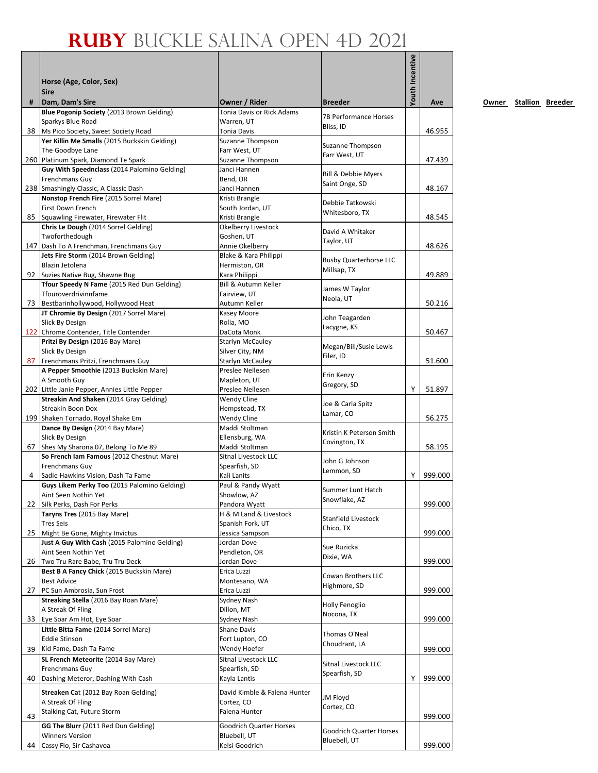|    | Horse (Age, Color, Sex)<br><b>Sire</b>                                          |                                                  |                                | Youth Incentive |         |
|----|---------------------------------------------------------------------------------|--------------------------------------------------|--------------------------------|-----------------|---------|
| #  | Dam, Dam's Sire                                                                 | Owner / Rider                                    | <b>Breeder</b>                 |                 | Ave     |
|    | Blue Pogonip Society (2013 Brown Gelding)                                       | <b>Tonia Davis or Rick Adams</b>                 | 7B Performance Horses          |                 |         |
|    | Sparkys Blue Road<br>38 Ms Pico Society, Sweet Society Road                     | Warren, UT<br>Tonia Davis                        | Bliss, ID                      |                 | 46.955  |
|    | Yer Killin Me Smalls (2015 Buckskin Gelding)                                    | Suzanne Thompson                                 |                                |                 |         |
|    | The Goodbye Lane                                                                | Farr West, UT                                    | Suzanne Thompson               |                 |         |
|    | 260 Platinum Spark, Diamond Te Spark                                            | <b>Suzanne Thompson</b>                          | Farr West, UT                  |                 | 47.439  |
|    | Guy With Speednclass (2014 Palomino Gelding)                                    | Janci Hannen                                     | <b>Bill &amp; Debbie Myers</b> |                 |         |
|    | Frenchmans Guy                                                                  | Bend. OR                                         | Saint Onge, SD                 |                 |         |
|    | 238 Smashingly Classic, A Classic Dash                                          | Janci Hannen                                     |                                |                 | 48.167  |
|    | Nonstop French Fire (2015 Sorrel Mare)                                          | Kristi Brangle                                   | Debbie Tatkowski               |                 |         |
|    | First Down French<br>85 Squawling Firewater, Firewater Flit                     | South Jordan, UT<br>Kristi Brangle               | Whitesboro, TX                 |                 | 48.545  |
|    | Chris Le Dough (2014 Sorrel Gelding)                                            | Okelberry Livestock                              |                                |                 |         |
|    | Twoforthedough                                                                  | Goshen, UT                                       | David A Whitaker               |                 |         |
|    | 147 Dash To A Frenchman, Frenchmans Guy                                         | Annie Okelberry                                  | Taylor, UT                     |                 | 48.626  |
|    | Jets Fire Storm (2014 Brown Gelding)                                            | Blake & Kara Philippi                            | <b>Busby Quarterhorse LLC</b>  |                 |         |
|    | Blazin Jetolena                                                                 | Hermiston, OR                                    | Millsap, TX                    |                 |         |
|    | 92 Suzies Native Bug, Shawne Bug<br>Tfour Speedy N Fame (2015 Red Dun Gelding)  | Kara Philippi<br><b>Bill &amp; Autumn Keller</b> |                                |                 | 49.889  |
|    | Tfouroverdrivinnfame                                                            | Fairview, UT                                     | James W Taylor                 |                 |         |
|    | 73 Bestbarinhollywood, Hollywood Heat                                           | Autumn Keller                                    | Neola, UT                      |                 | 50.216  |
|    | JT Chromie By Design (2017 Sorrel Mare)                                         | Kasey Moore                                      |                                |                 |         |
|    | Slick By Design                                                                 | Rolla, MO                                        | John Teagarden<br>Lacygne, KS  |                 |         |
|    | 122 Chrome Contender, Title Contender                                           | DaCota Monk                                      |                                |                 | 50.467  |
|    | Pritzi By Design (2016 Bay Mare)                                                | Starlyn McCauley                                 | Megan/Bill/Susie Lewis         |                 |         |
|    | Slick By Design                                                                 | Silver City, NM                                  | Filer, ID                      |                 | 51.600  |
|    | 87 Frenchmans Pritzi, Frenchmans Guy<br>A Pepper Smoothie (2013 Buckskin Mare)  | Starlyn McCauley<br>Preslee Nellesen             |                                |                 |         |
|    | A Smooth Guy                                                                    | Mapleton, UT                                     | Erin Kenzy                     |                 |         |
|    | 202 Little Janie Pepper, Annies Little Pepper                                   | Preslee Nellesen                                 | Gregory, SD                    | Υ               | 51.897  |
|    | Streakin And Shaken (2014 Gray Gelding)                                         | Wendy Cline                                      | Joe & Carla Spitz              |                 |         |
|    | Streakin Boon Dox                                                               | Hempstead, TX                                    | Lamar, CO                      |                 |         |
|    | 199 Shaken Tornado, Royal Shake Em                                              | Wendy Cline                                      |                                |                 | 56.275  |
|    | Dance By Design (2014 Bay Mare)<br>Slick By Design                              | Maddi Stoltman<br>Ellensburg, WA                 | Kristin K Peterson Smith       |                 |         |
| 67 | Shes My Sharona 07, Belong To Me 89                                             | Maddi Stoltman                                   | Covington, TX                  |                 | 58.195  |
|    | So French Iam Famous (2012 Chestnut Mare)                                       | Sitnal Livestock LLC                             |                                |                 |         |
|    | Frenchmans Guy                                                                  | Spearfish, SD                                    | John G Johnson<br>Lemmon, SD   |                 |         |
| 4  | Sadie Hawkins Vision, Dash Ta Fame                                              | Kali Lanits                                      |                                | Y               | 999.000 |
|    | Guys Likem Perky Too (2015 Palomino Gelding)                                    | Paul & Pandy Wyatt                               | Summer Lunt Hatch              |                 |         |
| 22 | Aint Seen Nothin Yet<br>Silk Perks, Dash For Perks                              | Showlow, AZ<br>Pandora Wyatt                     | Snowflake, AZ                  |                 | 999.000 |
|    | Taryns Tres (2015 Bay Mare)                                                     | H & M Land & Livestock                           |                                |                 |         |
|    | <b>Tres Seis</b>                                                                | Spanish Fork, UT                                 | Stanfield Livestock            |                 |         |
|    | 25 Might Be Gone, Mighty Invictus                                               | Jessica Sampson                                  | Chico, TX                      |                 | 999.000 |
|    | Just A Guy With Cash (2015 Palomino Gelding)                                    | Jordan Dove                                      | Sue Ruzicka                    |                 |         |
|    | Aint Seen Nothin Yet                                                            | Pendleton, OR                                    | Dixie, WA                      |                 |         |
|    | 26 Two Tru Rare Babe, Tru Tru Deck<br>Best B A Fancy Chick (2015 Buckskin Mare) | Jordan Dove<br>Erica Luzzi                       |                                |                 | 999.000 |
|    | <b>Best Advice</b>                                                              | Montesano, WA                                    | <b>Cowan Brothers LLC</b>      |                 |         |
|    | 27 PC Sun Ambrosia, Sun Frost                                                   | Erica Luzzi                                      | Highmore, SD                   |                 | 999.000 |
|    | Streaking Stella (2016 Bay Roan Mare)                                           | Sydney Nash                                      | Holly Fenoglio                 |                 |         |
|    | A Streak Of Fling                                                               | Dillon, MT                                       | Nocona, TX                     |                 |         |
|    | 33 Eye Soar Am Hot, Eye Soar                                                    | Sydney Nash                                      |                                |                 | 999.000 |
|    | Little Bitta Fame (2014 Sorrel Mare)                                            | Shane Davis                                      | Thomas O'Neal                  |                 |         |
|    | <b>Eddie Stinson</b><br>39 Kid Fame, Dash Ta Fame                               | Fort Lupton, CO<br>Wendy Hoefer                  | Choudrant, LA                  |                 |         |
|    | SL French Meteorite (2014 Bay Mare)                                             | Sitnal Livestock LLC                             |                                |                 | 999.000 |
|    | Frenchmans Guy                                                                  | Spearfish, SD                                    | Sitnal Livestock LLC           |                 |         |
| 40 | Dashing Meteror, Dashing With Cash                                              | Kayla Lantis                                     | Spearfish, SD                  | Υ               | 999.000 |
|    | Streaken Cat (2012 Bay Roan Gelding)                                            | David Kimble & Falena Hunter                     |                                |                 |         |
|    | A Streak Of Fling                                                               | Cortez, CO                                       | JM Floyd                       |                 |         |
|    | Stalking Cat, Future Storm                                                      | Falena Hunter                                    | Cortez, CO                     |                 |         |
| 43 | GG The Blurr (2011 Red Dun Gelding)                                             |                                                  |                                |                 | 999.000 |
|    | <b>Winners Version</b>                                                          | Goodrich Quarter Horses<br>Bluebell, UT          | Goodrich Quarter Horses        |                 |         |
|    | 44 Cassy Flo, Sir Cashavoa                                                      | Kelsi Goodrich                                   | Bluebell, UT                   |                 | 999.000 |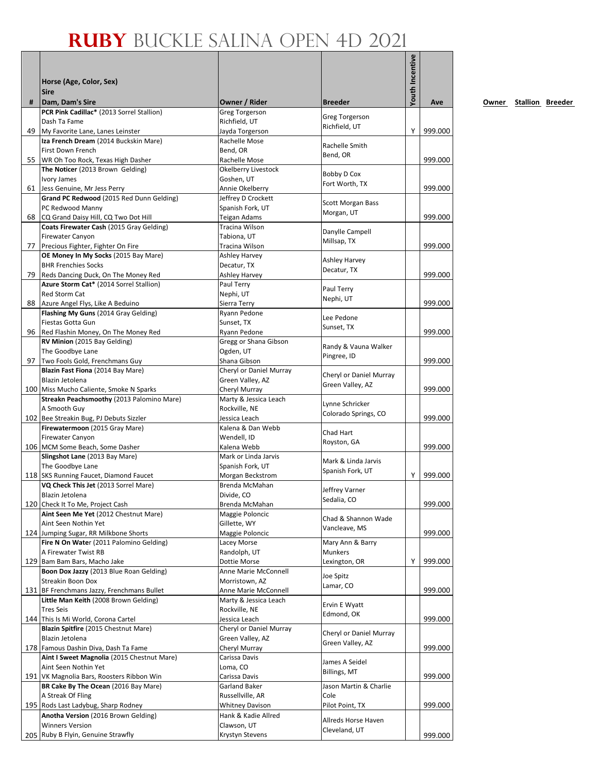|    | Horse (Age, Color, Sex)<br><b>Sire</b>                                     |                                               |                                             | Youth Incentive |         |
|----|----------------------------------------------------------------------------|-----------------------------------------------|---------------------------------------------|-----------------|---------|
| #  | Dam, Dam's Sire<br>PCR Pink Cadillac* (2013 Sorrel Stallion)               | Owner / Rider                                 | <b>Breeder</b>                              |                 | Ave     |
|    | Dash Ta Fame                                                               | <b>Greg Torgerson</b><br>Richfield, UT        | <b>Greg Torgerson</b>                       |                 |         |
|    | 49 My Favorite Lane, Lanes Leinster                                        | Jayda Torgerson                               | Richfield, UT                               | Y               | 999.000 |
|    | Iza French Dream (2014 Buckskin Mare)                                      | Rachelle Mose                                 | Rachelle Smith                              |                 |         |
|    | First Down French                                                          | Bend, OR                                      | Bend, OR                                    |                 |         |
|    | 55 WR Oh Too Rock, Texas High Dasher                                       | Rachelle Mose                                 |                                             |                 | 999.000 |
|    | The Noticer (2013 Brown Gelding)<br>Ivory James                            | Okelberry Livestock<br>Goshen, UT             | Bobby D Cox                                 |                 |         |
|    | 61 Jess Genuine, Mr Jess Perry                                             | Annie Okelberry                               | Fort Worth, TX                              |                 | 999.000 |
|    | Grand PC Redwood (2015 Red Dunn Gelding)                                   | Jeffrey D Crockett                            | <b>Scott Morgan Bass</b>                    |                 |         |
|    | PC Redwood Manny                                                           | Spanish Fork, UT                              | Morgan, UT                                  |                 |         |
| 68 | CQ Grand Daisy Hill, CQ Two Dot Hill                                       | Teigan Adams                                  |                                             |                 | 999.000 |
|    | Coats Firewater Cash (2015 Gray Gelding)<br><b>Firewater Canyon</b>        | Tracina Wilson<br>Tabiona, UT                 | Danylle Campell                             |                 |         |
| 77 | Precious Fighter, Fighter On Fire                                          | Tracina Wilson                                | Millsap, TX                                 |                 | 999.000 |
|    | OE Money In My Socks (2015 Bay Mare)                                       | <b>Ashley Harvey</b>                          | Ashley Harvey                               |                 |         |
|    | <b>BHR Frenchies Socks</b>                                                 | Decatur, TX                                   | Decatur, TX                                 |                 |         |
| 79 | Reds Dancing Duck, On The Money Red                                        | <b>Ashley Harvey</b>                          |                                             |                 | 999.000 |
|    | Azure Storm Cat* (2014 Sorrel Stallion)<br>Red Storm Cat                   | Paul Terry<br>Nephi, UT                       | Paul Terry                                  |                 |         |
|    | 88 Azure Angel Flys, Like A Beduino                                        | Sierra Terry                                  | Nephi, UT                                   |                 | 999.000 |
|    | Flashing My Guns (2014 Gray Gelding)                                       | Ryann Pedone                                  | Lee Pedone                                  |                 |         |
|    | Fiestas Gotta Gun                                                          | Sunset, TX                                    | Sunset, TX                                  |                 |         |
|    | 96 Red Flashin Money, On The Money Red                                     | Ryann Pedone                                  |                                             |                 | 999.000 |
|    | RV Minion (2015 Bay Gelding)<br>The Goodbye Lane                           | Gregg or Shana Gibson<br>Ogden, UT            | Randy & Vauna Walker                        |                 |         |
|    | 97 Two Fools Gold, Frenchmans Guy                                          | Shana Gibson                                  | Pingree, ID                                 |                 | 999.000 |
|    | Blazin Fast Fiona (2014 Bay Mare)                                          | Cheryl or Daniel Murray                       |                                             |                 |         |
|    | Blazin Jetolena                                                            | Green Valley, AZ                              | Cheryl or Daniel Murray<br>Green Valley, AZ |                 |         |
|    | 100 Miss Mucho Caliente, Smoke N Sparks                                    | Cheryl Murray                                 |                                             |                 | 999.000 |
|    | Streakn Peachsmoothy (2013 Palomino Mare)<br>A Smooth Guy                  | Marty & Jessica Leach<br>Rockville, NE        | Lynne Schricker                             |                 |         |
|    | 102 Bee Streakin Bug, PJ Debuts Sizzler                                    | Jessica Leach                                 | Colorado Springs, CO                        |                 | 999.000 |
|    | Firewatermoon (2015 Gray Mare)                                             | Kalena & Dan Webb                             |                                             |                 |         |
|    | <b>Firewater Canyon</b>                                                    | Wendell, ID                                   | Chad Hart<br>Royston, GA                    |                 |         |
|    | 106 MCM Some Beach, Some Dasher                                            | Kalena Webb                                   |                                             |                 | 999.000 |
|    | Slingshot Lane (2013 Bay Mare)                                             | Mark or Linda Jarvis                          | Mark & Linda Jarvis                         |                 |         |
|    | The Goodbye Lane<br>118 SKS Running Faucet, Diamond Faucet                 | Spanish Fork, UT<br>Morgan Beckstrom          | Spanish Fork, UT                            | Υ               | 999.000 |
|    | VQ Check This Jet (2013 Sorrel Mare)                                       | Brenda McMahan                                |                                             |                 |         |
|    | Blazin Jetolena                                                            | Divide, CO                                    | Jeffrey Varner<br>Sedalia, CO               |                 |         |
|    | 120 Check It To Me, Project Cash                                           | Brenda McMahan                                |                                             |                 | 999.000 |
|    | Aint Seen Me Yet (2012 Chestnut Mare)                                      | Maggie Poloncic                               | Chad & Shannon Wade                         |                 |         |
|    | Aint Seen Nothin Yet<br>124 Jumping Sugar, RR Milkbone Shorts              | Gillette, WY<br>Maggie Poloncic               | Vancleave, MS                               |                 | 999.000 |
|    | Fire N On Water (2011 Palomino Gelding)                                    | Lacey Morse                                   | Mary Ann & Barry                            |                 |         |
|    | A Firewater Twist RB                                                       | Randolph, UT                                  | <b>Munkers</b>                              |                 |         |
|    | 129 Bam Bam Bars, Macho Jake                                               | Dottie Morse                                  | Lexington, OR                               | Υ               | 999.000 |
|    | Boon Dox Jazzy (2013 Blue Roan Gelding)                                    | Anne Marie McConnell                          | Joe Spitz                                   |                 |         |
|    | Streakin Boon Dox<br>131 BF Frenchmans Jazzy, Frenchmans Bullet            | Morristown, AZ<br>Anne Marie McConnell        | Lamar, CO                                   |                 | 999.000 |
|    | Little Man Keith (2008 Brown Gelding)                                      | Marty & Jessica Leach                         |                                             |                 |         |
|    | <b>Tres Seis</b>                                                           | Rockville, NE                                 | Ervin E Wyatt                               |                 |         |
|    | 144 This Is Mi World, Corona Cartel                                        | Jessica Leach                                 | Edmond, OK                                  |                 | 999.000 |
|    | Blazin Spitfire (2015 Chestnut Mare)                                       | Cheryl or Daniel Murray                       | Cheryl or Daniel Murray                     |                 |         |
|    | Blazin Jetolena<br>178 Famous Dashin Diva, Dash Ta Fame                    | Green Valley, AZ<br>Cheryl Murray             | Green Valley, AZ                            |                 | 999.000 |
|    | Aint I Sweet Magnolia (2015 Chestnut Mare)                                 | Carissa Davis                                 |                                             |                 |         |
|    | Aint Seen Nothin Yet                                                       | Loma, CO                                      | James A Seidel                              |                 |         |
|    | 191 VK Magnolia Bars, Roosters Ribbon Win                                  | Carissa Davis                                 | <b>Billings, MT</b>                         |                 | 999.000 |
|    | BR Cake By The Ocean (2016 Bay Mare)                                       | Garland Baker                                 | Jason Martin & Charlie                      |                 |         |
|    | A Streak Of Fling                                                          | Russellville, AR                              | Cole                                        |                 |         |
|    | 195 Rods Last Ladybug, Sharp Rodney<br>Anotha Version (2016 Brown Gelding) | <b>Whitney Davison</b><br>Hank & Kadie Allred | Pilot Point, TX                             |                 | 999.000 |
|    | <b>Winners Version</b>                                                     | Clawson, UT                                   | Allreds Horse Haven                         |                 |         |
|    | 205 Ruby B Flyin, Genuine Strawfly                                         | Krystyn Stevens                               | Cleveland, UT                               |                 | 999.000 |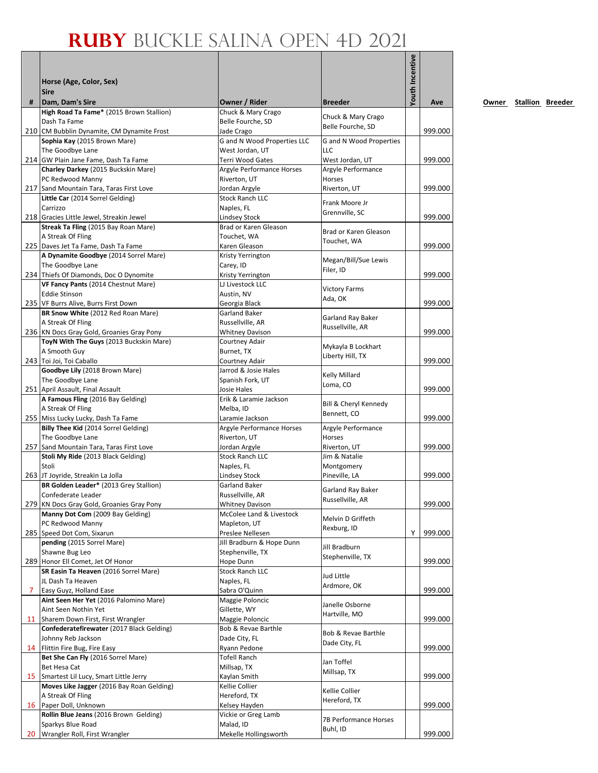| #              | Horse (Age, Color, Sex)<br><b>Sire</b>                                               | Owner / Rider                                      | <b>Breeder</b>                   | Youth Incentive | Ave     |
|----------------|--------------------------------------------------------------------------------------|----------------------------------------------------|----------------------------------|-----------------|---------|
|                | Dam, Dam's Sire<br>High Road Ta Fame* (2015 Brown Stallion)                          | Chuck & Mary Crago                                 |                                  |                 |         |
|                | Dash Ta Fame                                                                         | Belle Fourche, SD                                  | Chuck & Mary Crago               |                 |         |
|                | 210 CM Bubblin Dynamite, CM Dynamite Frost                                           | Jade Crago                                         | Belle Fourche, SD                |                 | 999.000 |
|                | Sophia Kay (2015 Brown Mare)                                                         | G and N Wood Properties LLC                        | G and N Wood Properties          |                 |         |
|                | The Goodbye Lane<br>214 GW Plain Jane Fame, Dash Ta Fame                             | West Jordan, UT                                    | LLC<br>West Jordan, UT           |                 |         |
|                | Charley Darkey (2015 Buckskin Mare)                                                  | Terri Wood Gates<br>Argyle Performance Horses      | Argyle Performance               |                 | 999.000 |
|                | PC Redwood Manny                                                                     | Riverton, UT                                       | Horses                           |                 |         |
|                | 217 Sand Mountain Tara, Taras First Love                                             | Jordan Argyle                                      | Riverton, UT                     |                 | 999.000 |
|                | Little Car (2014 Sorrel Gelding)                                                     | <b>Stock Ranch LLC</b>                             | Frank Moore Jr                   |                 |         |
|                | Carrizzo<br>218 Gracies Little Jewel, Streakin Jewel                                 | Naples, FL                                         | Grennville, SC                   |                 | 999.000 |
|                | Streak Ta Fling (2015 Bay Roan Mare)                                                 | Lindsey Stock<br>Brad or Karen Gleason             |                                  |                 |         |
|                | A Streak Of Fling                                                                    | Touchet, WA                                        | Brad or Karen Gleason            |                 |         |
|                | 225 Daves Jet Ta Fame, Dash Ta Fame                                                  | Karen Gleason                                      | Touchet, WA                      |                 | 999.000 |
|                | A Dynamite Goodbye (2014 Sorrel Mare)                                                | Kristy Yerrington                                  | Megan/Bill/Sue Lewis             |                 |         |
|                | The Goodbye Lane                                                                     | Carey, ID                                          | Filer, ID                        |                 |         |
|                | 234 Thiefs Of Diamonds, Doc O Dynomite<br>VF Fancy Pants (2014 Chestnut Mare)        | Kristy Yerrington<br>LJ Livestock LLC              |                                  |                 | 999.000 |
|                | <b>Eddie Stinson</b>                                                                 | Austin, NV                                         | <b>Victory Farms</b>             |                 |         |
|                | 235 VF Burrs Alive, Burrs First Down                                                 | Georgia Black                                      | Ada, OK                          |                 | 999.000 |
|                | BR Snow White (2012 Red Roan Mare)                                                   | Garland Baker                                      | Garland Ray Baker                |                 |         |
|                | A Streak Of Fling                                                                    | Russellville, AR                                   | Russellville, AR                 |                 |         |
|                | 236 KN Docs Gray Gold, Groanies Gray Pony<br>ToyN With The Guys (2013 Buckskin Mare) | <b>Whitney Davison</b><br>Courtney Adair           |                                  |                 | 999.000 |
|                | A Smooth Guy                                                                         | Burnet, TX                                         | Mykayla B Lockhart               |                 |         |
|                | 243 Toi Joi, Toi Caballo                                                             | Courtney Adair                                     | Liberty Hill, TX                 |                 | 999.000 |
|                | Goodbye Lily (2018 Brown Mare)                                                       | Jarrod & Josie Hales                               | Kelly Millard                    |                 |         |
|                | The Goodbye Lane                                                                     | Spanish Fork, UT                                   | Loma, CO                         |                 |         |
|                | 251 April Assault, Final Assault<br>A Famous Fling (2016 Bay Gelding)                | Josie Hales<br>Erik & Laramie Jackson              |                                  |                 | 999.000 |
|                | A Streak Of Fling                                                                    | Melba, ID                                          | Bill & Cheryl Kennedy            |                 |         |
|                | 255 Miss Lucky Lucky, Dash Ta Fame                                                   | Laramie Jackson                                    | Bennett, CO                      |                 | 999.000 |
|                | Billy Thee Kid (2014 Sorrel Gelding)                                                 | Argyle Performance Horses                          | Argyle Performance               |                 |         |
|                | The Goodbye Lane                                                                     | Riverton, UT                                       | <b>Horses</b>                    |                 |         |
|                | 257 Sand Mountain Tara, Taras First Love                                             | Jordan Argyle                                      | Riverton, UT                     |                 | 999.000 |
|                | Stoli My Ride (2013 Black Gelding)<br>Stoli                                          | <b>Stock Ranch LLC</b><br>Naples, FL               | Jim & Natalie<br>Montgomery      |                 |         |
|                | 263 JT Joyride, Streakin La Jolla                                                    | Lindsey Stock                                      | Pineville, LA                    |                 | 999.000 |
|                | BR Golden Leader* (2013 Grey Stallion)                                               | Garland Baker                                      | Garland Ray Baker                |                 |         |
|                | Confederate Leader                                                                   | Russellville, AR                                   | Russellville, AR                 |                 |         |
|                | 279 KN Docs Gray Gold, Groanies Gray Pony                                            | <b>Whitney Davison</b><br>McColee Land & Livestock |                                  |                 | 999.000 |
|                | Manny Dot Com (2009 Bay Gelding)<br>PC Redwood Manny                                 | Mapleton, UT                                       | Melvin D Griffeth                |                 |         |
|                | 285 Speed Dot Com, Sixarun                                                           | Preslee Nellesen                                   | Rexburg, ID                      | Y               | 999.000 |
|                | pending (2015 Sorrel Mare)                                                           | Jill Bradburn & Hope Dunn                          | Jill Bradburn                    |                 |         |
|                | Shawne Bug Leo                                                                       | Stephenville, TX                                   | Stephenville, TX                 |                 |         |
|                | 289 Honor Ell Comet, Jet Of Honor                                                    | Hope Dunn                                          |                                  |                 | 999.000 |
|                | SR Easin Ta Heaven (2016 Sorrel Mare)<br>JL Dash Ta Heaven                           | <b>Stock Ranch LLC</b><br>Naples, FL               | Jud Little                       |                 |         |
| $\overline{7}$ | Easy Guyz, Holland Ease                                                              | Sabra O'Quinn                                      | Ardmore, OK                      |                 | 999.000 |
|                | Aint Seen Her Yet (2016 Palomino Mare)                                               | Maggie Poloncic                                    |                                  |                 |         |
|                | Aint Seen Nothin Yet                                                                 | Gillette, WY                                       | Janelle Osborne<br>Hartville, MO |                 |         |
|                | 11 Sharem Down First, First Wrangler                                                 | Maggie Poloncic                                    |                                  |                 | 999.000 |
|                | Confederatefirewater (2017 Black Gelding)                                            | Bob & Revae Barthle                                | Bob & Revae Barthle              |                 |         |
|                | Johnny Reb Jackson<br>14 Flittin Fire Bug, Fire Easy                                 | Dade City, FL<br>Ryann Pedone                      | Dade City, FL                    |                 | 999.000 |
|                | Bet She Can Fly (2016 Sorrel Mare)                                                   | Tofell Ranch                                       |                                  |                 |         |
|                | <b>Bet Hesa Cat</b>                                                                  | Millsap, TX                                        | Jan Toffel                       |                 |         |
|                | 15 Smartest Lil Lucy, Smart Little Jerry                                             | Kaylan Smith                                       | Millsap, TX                      |                 | 999.000 |
|                | Moves Like Jagger (2016 Bay Roan Gelding)                                            | Kellie Collier                                     | Kellie Collier                   |                 |         |
|                | A Streak Of Fling<br>16 Paper Doll, Unknown                                          | Hereford, TX<br>Kelsey Hayden                      | Hereford, TX                     |                 | 999.000 |
|                | Rollin Blue Jeans (2016 Brown Gelding)                                               | Vickie or Greg Lamb                                |                                  |                 |         |
|                | Sparkys Blue Road                                                                    | Malad, ID                                          | 7B Performance Horses            |                 |         |
|                | 20 Wrangler Roll, First Wrangler                                                     | Mekelle Hollingsworth                              | Buhl, ID                         |                 | 999.000 |